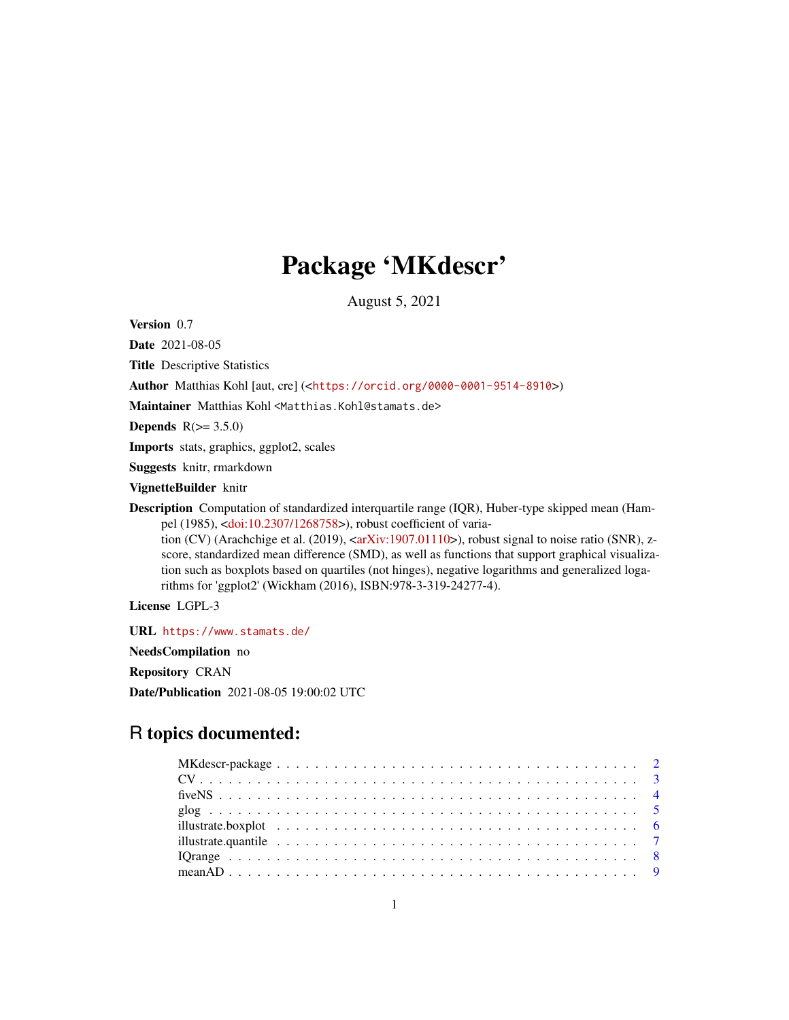# Package 'MKdescr'

August 5, 2021

<span id="page-0-0"></span>Version 0.7

Date 2021-08-05

Title Descriptive Statistics

Author Matthias Kohl [aut, cre] (<<https://orcid.org/0000-0001-9514-8910>>)

Maintainer Matthias Kohl <Matthias.Kohl@stamats.de>

Depends  $R(>= 3.5.0)$ 

Imports stats, graphics, ggplot2, scales

Suggests knitr, rmarkdown

VignetteBuilder knitr

Description Computation of standardized interquartile range (IQR), Huber-type skipped mean (Hampel (1985), [<doi:10.2307/1268758>](https://doi.org/10.2307/1268758)), robust coefficient of variation (CV) (Arachchige et al. (2019),  $\langle \text{arXiv:1907.01110}\rangle$ ), robust signal to noise ratio (SNR), z-

score, standardized mean difference (SMD), as well as functions that support graphical visualization such as boxplots based on quartiles (not hinges), negative logarithms and generalized logarithms for 'ggplot2' (Wickham (2016), ISBN:978-3-319-24277-4).

License LGPL-3

URL <https://www.stamats.de/> NeedsCompilation no Repository CRAN Date/Publication 2021-08-05 19:00:02 UTC

# R topics documented: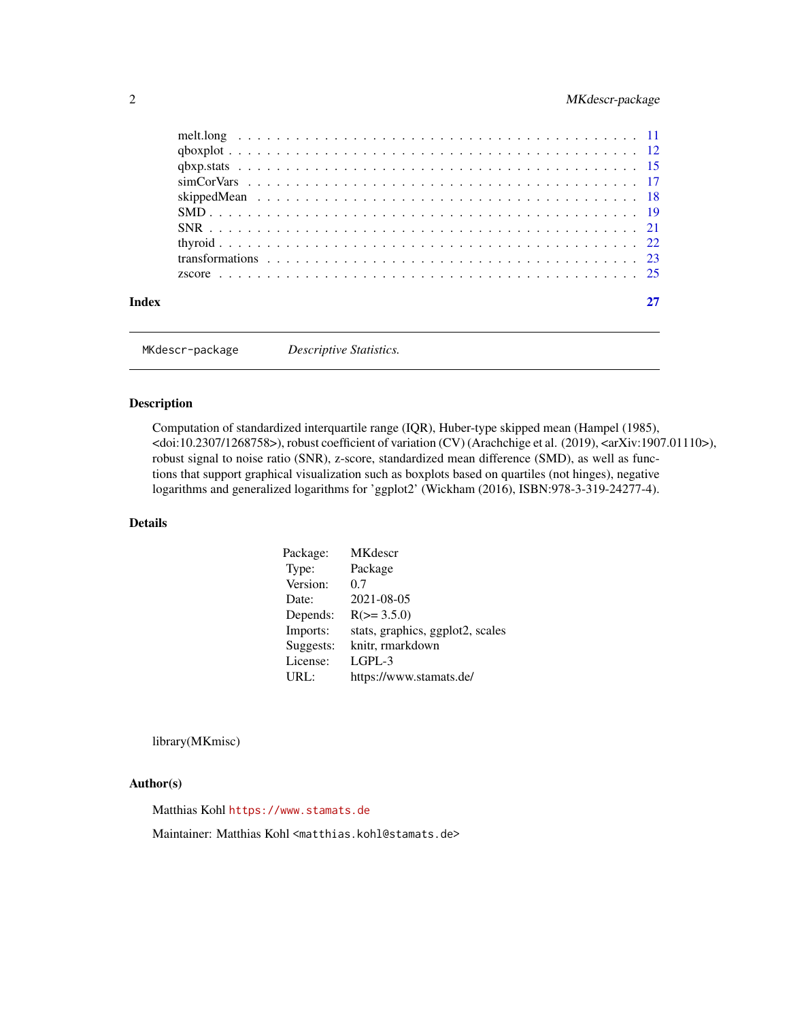# <span id="page-1-0"></span>2 MKdescr-package

|       | transformations $\ldots$ , $\ldots$ , $\ldots$ , $\ldots$ , $\ldots$ , $\ldots$ , $\ldots$ , $\ldots$ , $\ldots$ , $\ldots$ , $\ldots$ , $\ldots$ , $\frac{23}{23}$ |  |  |  |  |  |  |  |  |  |  |  |  |  |  |  |
|-------|---------------------------------------------------------------------------------------------------------------------------------------------------------------------|--|--|--|--|--|--|--|--|--|--|--|--|--|--|--|
|       |                                                                                                                                                                     |  |  |  |  |  |  |  |  |  |  |  |  |  |  |  |
| Index |                                                                                                                                                                     |  |  |  |  |  |  |  |  |  |  |  |  |  |  |  |
|       |                                                                                                                                                                     |  |  |  |  |  |  |  |  |  |  |  |  |  |  |  |

MKdescr-package *Descriptive Statistics.*

# Description

Computation of standardized interquartile range (IQR), Huber-type skipped mean (Hampel (1985), <doi:10.2307/1268758>), robust coefficient of variation (CV) (Arachchige et al. (2019), <arXiv:1907.01110>), robust signal to noise ratio (SNR), z-score, standardized mean difference (SMD), as well as functions that support graphical visualization such as boxplots based on quartiles (not hinges), negative logarithms and generalized logarithms for 'ggplot2' (Wickham (2016), ISBN:978-3-319-24277-4).

# Details

| Package:  | <b>MK</b> descr                  |
|-----------|----------------------------------|
| Type:     | Package                          |
| Version:  | 0.7                              |
| Date:     | 2021-08-05                       |
| Depends:  | $R(>= 3.5.0)$                    |
| Imports:  | stats, graphics, ggplot2, scales |
| Suggests: | knitr, rmarkdown                 |
| License:  | $L$ GPL-3                        |
| URL:      | https://www.stamats.de/          |

library(MKmisc)

#### Author(s)

Matthias Kohl <https://www.stamats.de>

Maintainer: Matthias Kohl <matthias.kohl@stamats.de>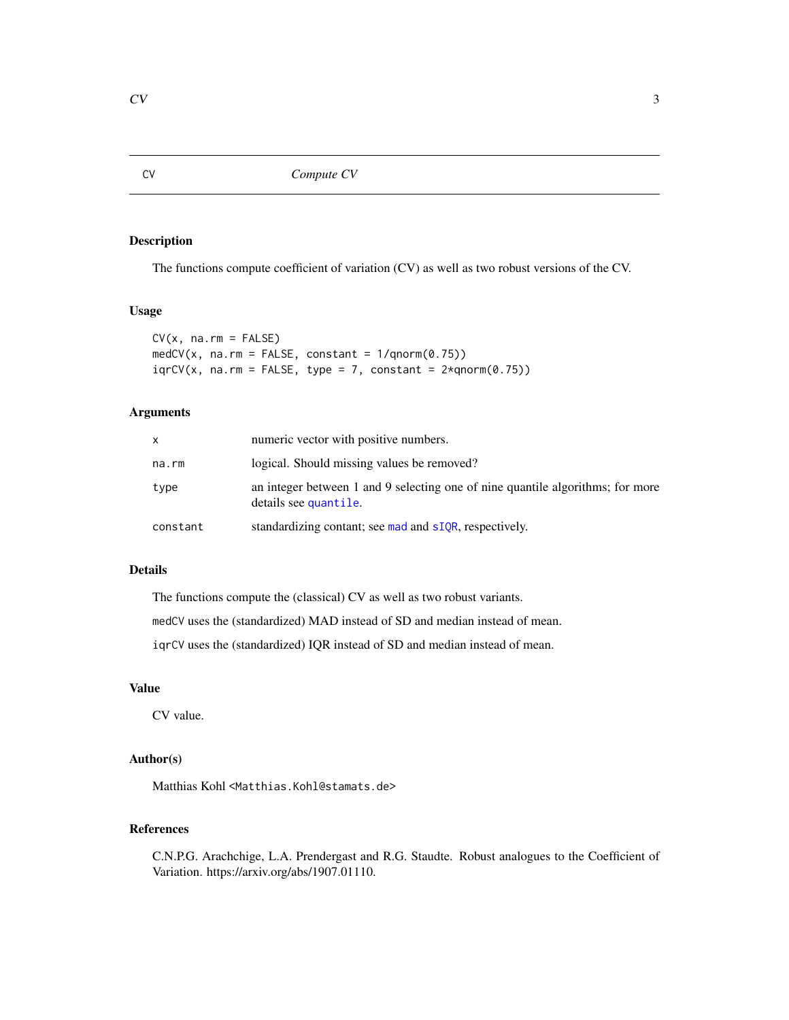# <span id="page-2-0"></span>Description

The functions compute coefficient of variation (CV) as well as two robust versions of the CV.

# Usage

```
CV(x, na.rm = FALSE)medCV(x, na.rm = FALSE, constant = 1/qnorm(0.75))iqrCV(x, na.rm = FALSE, type = 7, constant = <math>2*qnorm(0.75)</math>)
```
# Arguments

| x        | numeric vector with positive numbers.                                                                   |
|----------|---------------------------------------------------------------------------------------------------------|
| na.rm    | logical. Should missing values be removed?                                                              |
| type     | an integer between 1 and 9 selecting one of nine quantile algorithms; for more<br>details see quantile. |
| constant | standardizing contant; see mad and sIQR, respectively.                                                  |

# Details

The functions compute the (classical) CV as well as two robust variants.

medCV uses the (standardized) MAD instead of SD and median instead of mean.

iqrCV uses the (standardized) IQR instead of SD and median instead of mean.

# Value

CV value.

# Author(s)

Matthias Kohl <Matthias.Kohl@stamats.de>

# References

C.N.P.G. Arachchige, L.A. Prendergast and R.G. Staudte. Robust analogues to the Coefficient of Variation. https://arxiv.org/abs/1907.01110.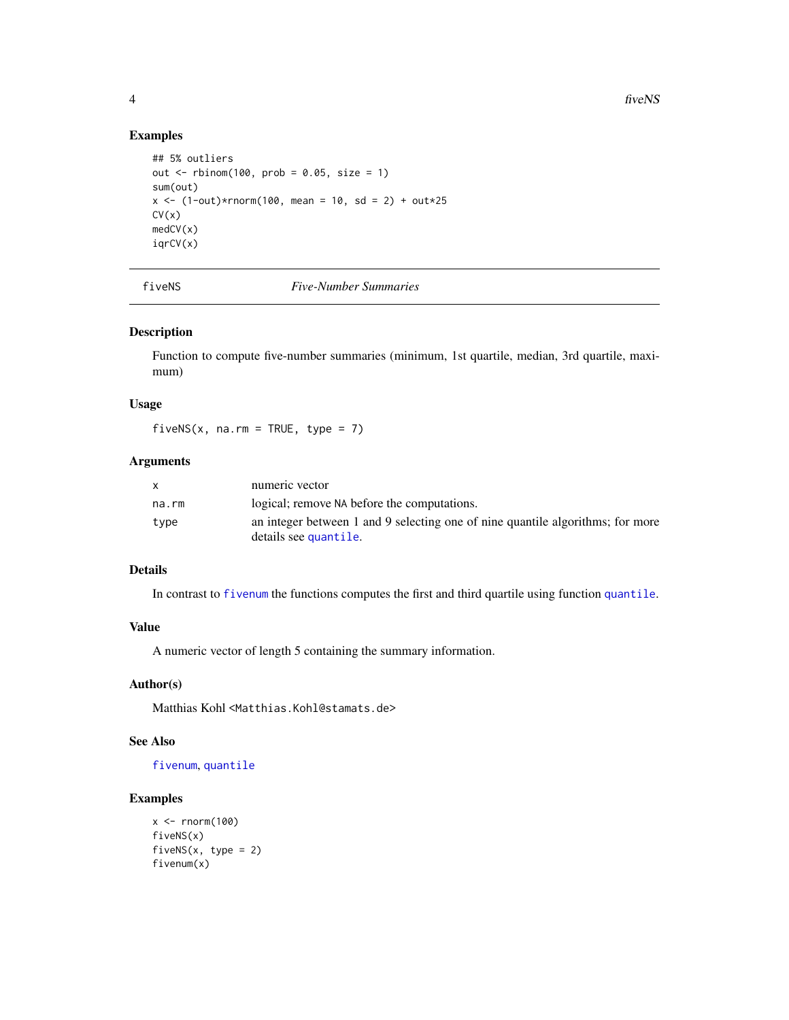# Examples

```
## 5% outliers
out <- rbinom(100, prob = 0.05, size = 1)
sum(out)
x \le -(1-out)*rnorm(100, mean = 10, sd = 2) + out*25
CV(x)medCV(x)
iqrCV(x)
```
fiveNS *Five-Number Summaries*

# Description

Function to compute five-number summaries (minimum, 1st quartile, median, 3rd quartile, maximum)

#### Usage

fiveNS(x, na.rm = TRUE, type = 7)

# Arguments

|       | numeric vector                                                                                          |
|-------|---------------------------------------------------------------------------------------------------------|
| na.rm | logical; remove NA before the computations.                                                             |
| type  | an integer between 1 and 9 selecting one of nine quantile algorithms; for more<br>details see quantile. |

# Details

In contrast to [fivenum](#page-0-0) the functions computes the first and third quartile using function [quantile](#page-0-0).

# Value

A numeric vector of length 5 containing the summary information.

# Author(s)

Matthias Kohl <Matthias.Kohl@stamats.de>

# See Also

[fivenum](#page-0-0), [quantile](#page-0-0)

```
x \leftarrow \text{norm}(100)fiveNS(x)
fivenS(x, type = 2)fivenum(x)
```
<span id="page-3-0"></span>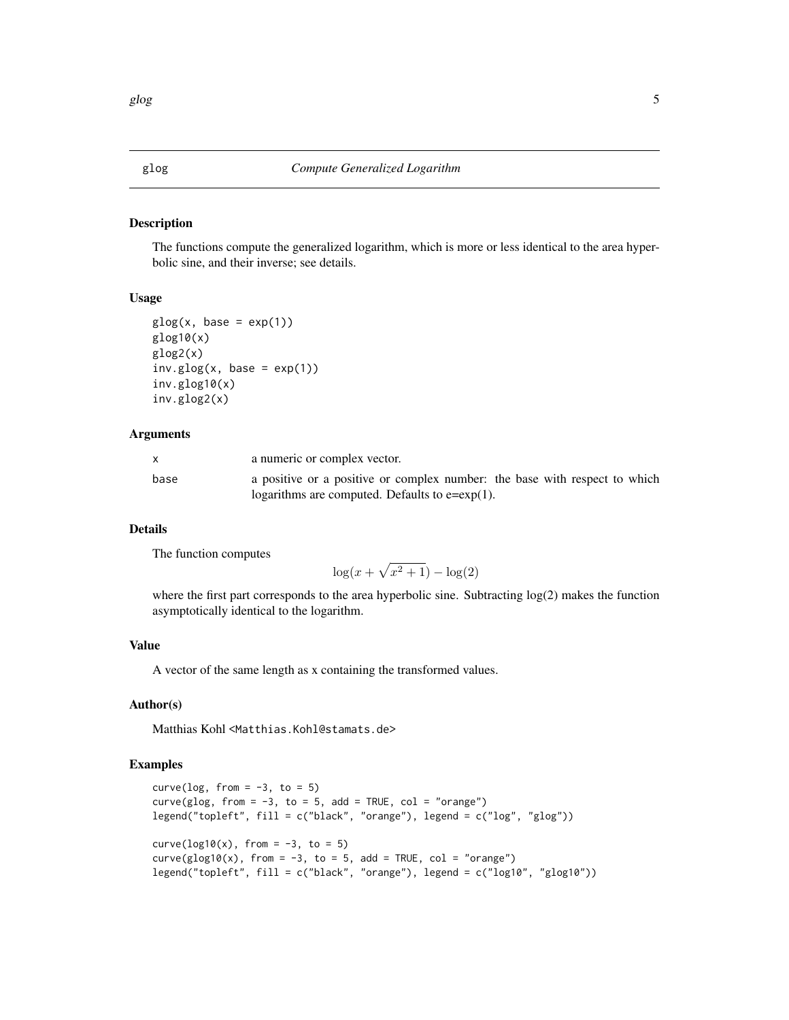<span id="page-4-0"></span>

#### Description

The functions compute the generalized logarithm, which is more or less identical to the area hyperbolic sine, and their inverse; see details.

#### Usage

```
glog(x, base = exp(1))glog10(x)
glog2(x)
inv.glog(x, base = exp(1))inv.glog10(x)
inv.glog2(x)
```
#### Arguments

| X.   | a numeric or complex vector.                                                                                                    |
|------|---------------------------------------------------------------------------------------------------------------------------------|
| base | a positive or a positive or complex number: the base with respect to which<br>logarithms are computed. Defaults to $e=exp(1)$ . |

# Details

The function computes

$$
\log(x + \sqrt{x^2 + 1}) - \log(2)
$$

where the first part corresponds to the area hyperbolic sine. Subtracting log(2) makes the function asymptotically identical to the logarithm.

# Value

A vector of the same length as x containing the transformed values.

#### Author(s)

Matthias Kohl <Matthias.Kohl@stamats.de>

```
curve(\log, from = -3, to = 5)
curve(glog, from = -3, to = 5, add = TRUE, col = "orange")
legend("topleft", fill = c("black", "orange"), legend = c("log", "glog"))
curve(\log 10(x), from = -3, to = 5)
curve(glog10(x), from = -3, to = 5, add = TRUE, col = "orange")legend("topleft", fill = c("black", "orange"), legend = c("log10", "glog10"))
```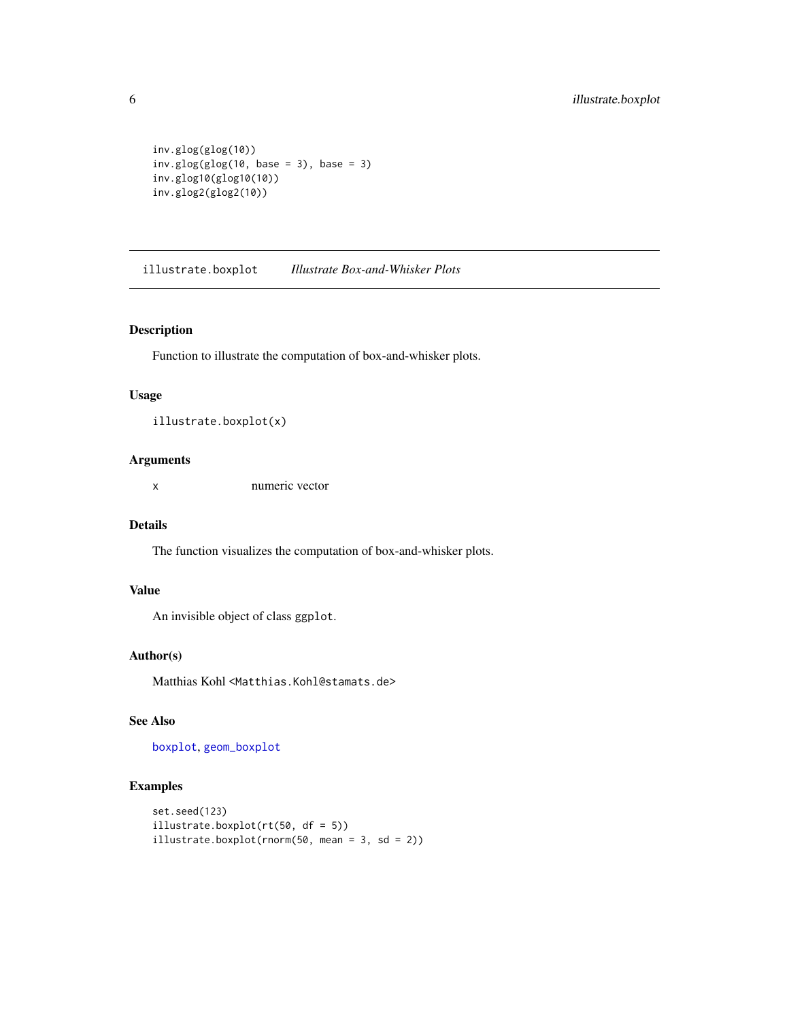```
inv.glog(glog(10))
inv.glog(glog(10, base = 3), base = 3)inv.glog10(glog10(10))
inv.glog2(glog2(10))
```
illustrate.boxplot *Illustrate Box-and-Whisker Plots*

# Description

Function to illustrate the computation of box-and-whisker plots.

#### Usage

```
illustrate.boxplot(x)
```
# Arguments

x numeric vector

# Details

The function visualizes the computation of box-and-whisker plots.

# Value

An invisible object of class ggplot.

# Author(s)

Matthias Kohl <Matthias.Kohl@stamats.de>

# See Also

[boxplot](#page-0-0), [geom\\_boxplot](#page-0-0)

```
set.seed(123)
illustrate.boxplot(rt(50, df = 5))
illustrate.boxplot(rnorm(50, mean = 3, sd = 2))
```
<span id="page-5-0"></span>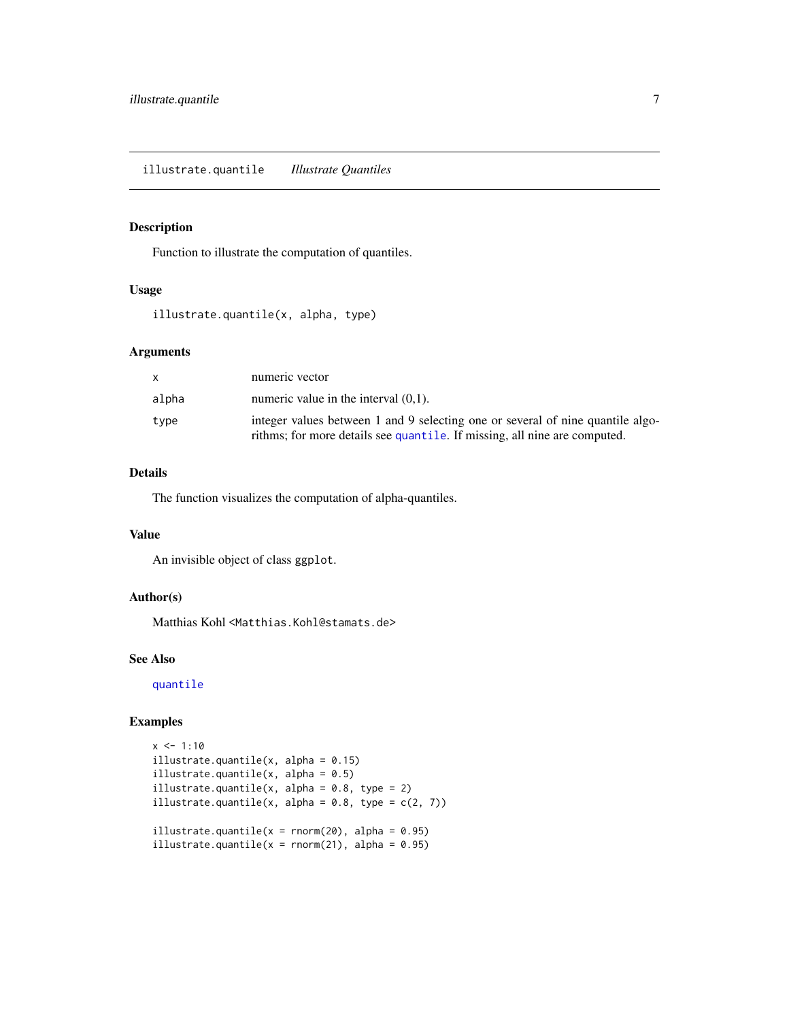# <span id="page-6-0"></span>Description

Function to illustrate the computation of quantiles.

# Usage

illustrate.quantile(x, alpha, type)

#### Arguments

| X     | numeric vector                                                                                                                                              |
|-------|-------------------------------------------------------------------------------------------------------------------------------------------------------------|
| alpha | numeric value in the interval $(0,1)$ .                                                                                                                     |
| type  | integer values between 1 and 9 selecting one or several of nine quantile algo-<br>rithms; for more details see quantile. If missing, all nine are computed. |

# Details

The function visualizes the computation of alpha-quantiles.

# Value

An invisible object of class ggplot.

#### Author(s)

Matthias Kohl <Matthias.Kohl@stamats.de>

# See Also

[quantile](#page-0-0)

```
x \le -1:10illustrate.quantile(x, alpha = 0.15)
illustrate.quantile(x, alpha = 0.5)
illustrate.quantile(x, alpha = 0.8, type = 2)
illustrate.quantile(x, alpha = 0.8, type = c(2, 7))
illustrate.quantile(x = \text{norm}(20), alpha = 0.95)
illustrate.quantile(x = \text{norm}(21), alpha = 0.95)
```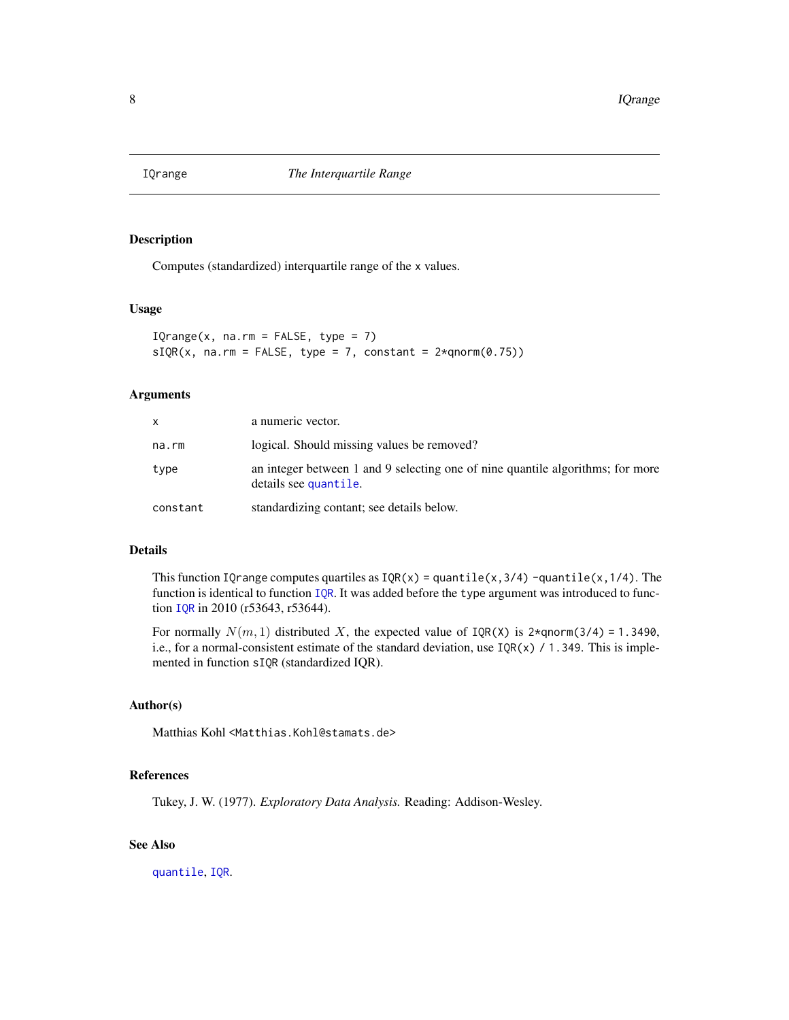<span id="page-7-0"></span>

# <span id="page-7-1"></span>Description

Computes (standardized) interquartile range of the x values.

#### Usage

 $IQrange(x, na.rm = FALSE, type = 7)$  $sIQR(x, na.rm = FALSE, type = 7, constant =  $2 \times qnorm(0.75)$ )$ 

#### Arguments

| x.       | a numeric vector.                                                                                       |
|----------|---------------------------------------------------------------------------------------------------------|
| na.rm    | logical. Should missing values be removed?                                                              |
| type     | an integer between 1 and 9 selecting one of nine quantile algorithms; for more<br>details see quantile. |
| constant | standardizing contant; see details below.                                                               |

#### Details

This function IQrange computes quartiles as  $IQR(x) =$  quantile(x,3/4) -quantile(x,1/4). The function is identical to function [IQR](#page-0-0). It was added before the type argument was introduced to function [IQR](#page-0-0) in 2010 (r53643, r53644).

For normally  $N(m, 1)$  distributed X, the expected value of  $IQR(X)$  is 2\*qnorm(3/4) = 1.3490, i.e., for a normal-consistent estimate of the standard deviation, use  $IQR(x) / 1.349$ . This is implemented in function sIQR (standardized IQR).

# Author(s)

Matthias Kohl <Matthias.Kohl@stamats.de>

# References

Tukey, J. W. (1977). *Exploratory Data Analysis.* Reading: Addison-Wesley.

# See Also

[quantile](#page-0-0), [IQR](#page-0-0).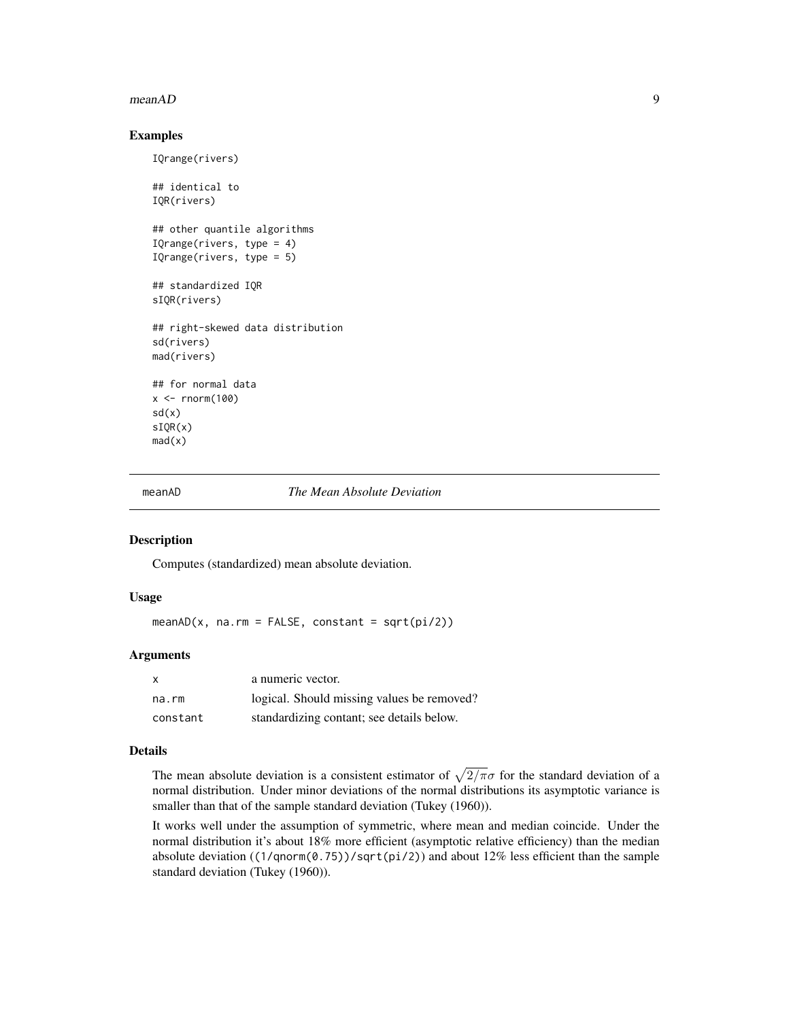#### <span id="page-8-0"></span> $meanAD$  9

#### Examples

```
IQrange(rivers)
## identical to
IQR(rivers)
## other quantile algorithms
IQrange(rivers, type = 4)
IQrange(rivers, type = 5)
## standardized IQR
sIQR(rivers)
## right-skewed data distribution
sd(rivers)
mad(rivers)
## for normal data
x < - rnorm(100)
sd(x)
sIQR(x)
mad(x)
```
meanAD *The Mean Absolute Deviation*

# Description

Computes (standardized) mean absolute deviation.

# Usage

 $meanAD(x, na.rm = FALSE, constant = sqrt(pi/2))$ 

# Arguments

| X.       | a numeric vector.                          |
|----------|--------------------------------------------|
| na.rm    | logical. Should missing values be removed? |
| constant | standardizing contant; see details below.  |

#### Details

The mean absolute deviation is a consistent estimator of  $\sqrt{2/\pi}\sigma$  for the standard deviation of a normal distribution. Under minor deviations of the normal distributions its asymptotic variance is smaller than that of the sample standard deviation (Tukey (1960)).

It works well under the assumption of symmetric, where mean and median coincide. Under the normal distribution it's about 18% more efficient (asymptotic relative efficiency) than the median absolute deviation ( $(1/qnorm(0.75))/sqrt(pi/2)$ ) and about 12% less efficient than the sample standard deviation (Tukey (1960)).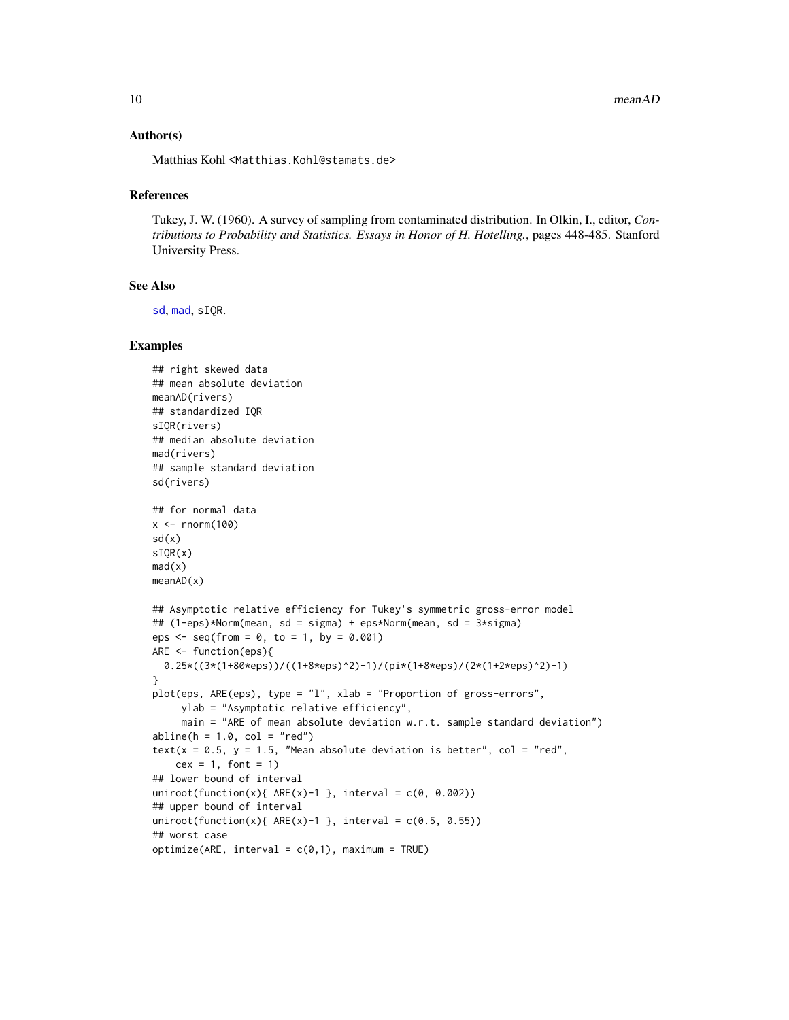#### <span id="page-9-0"></span>Author(s)

Matthias Kohl <Matthias.Kohl@stamats.de>

#### **References**

Tukey, J. W. (1960). A survey of sampling from contaminated distribution. In Olkin, I., editor, *Contributions to Probability and Statistics. Essays in Honor of H. Hotelling.*, pages 448-485. Stanford University Press.

#### See Also

[sd](#page-0-0), [mad](#page-0-0), sIQR.

```
## right skewed data
## mean absolute deviation
meanAD(rivers)
## standardized IQR
sIQR(rivers)
## median absolute deviation
mad(rivers)
## sample standard deviation
sd(rivers)
## for normal data
x < - rnorm(100)
sd(x)
sIQR(x)
mad(x)meanAD(x)
## Asymptotic relative efficiency for Tukey's symmetric gross-error model
## (1-eps)*Norm(mean, sd = sigma) + eps*Norm(mean, sd = 3*sigma)
eps \leq - seq(from = 0, to = 1, by = 0.001)
ARE <- function(eps){
  0.25*((3*(1+80*eps))/((1+8*eps)^2)-1)/(pi*(1+8*eps)/(2*(1+2*eps)^2)-1)
}
plot(eps, ARE(eps), type = "l", xlab = "Proportion of gross-errors",
     ylab = "Asymptotic relative efficiency",
     main = "ARE of mean absolute deviation w.r.t. sample standard deviation")
abline(h = 1.0, col = "red")text(x = 0.5, y = 1.5, "Mean absolute deviation is better", col = "red",
    cex = 1, font = 1)
## lower bound of interval
uniroot(function(x){ ARE(x)-1 }, interval = c(0, 0.002))
## upper bound of interval
uniroot(function(x){ ARE(x)-1 }, interval = c(0.5, 0.55))
## worst case
optimize(ARE, interval = c(0,1), maximum = TRUE)
```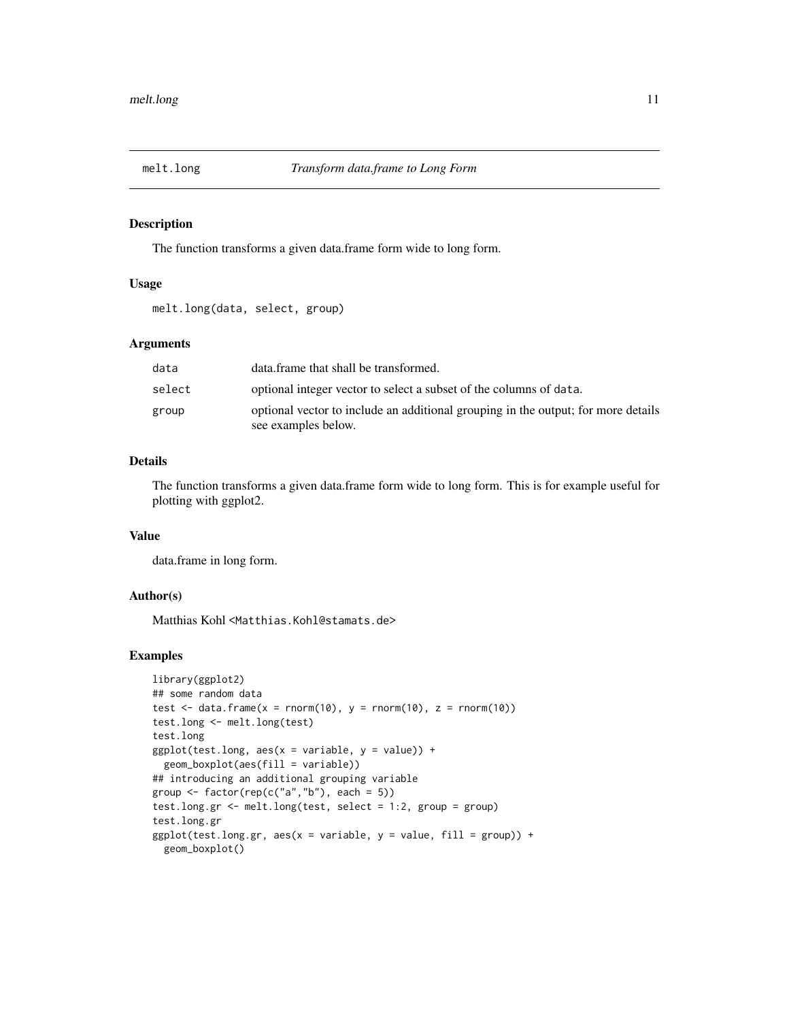<span id="page-10-0"></span>

#### Description

The function transforms a given data.frame form wide to long form.

# Usage

melt.long(data, select, group)

#### Arguments

| data   | data.frame that shall be transformed.                                                                    |
|--------|----------------------------------------------------------------------------------------------------------|
| select | optional integer vector to select a subset of the columns of data.                                       |
| group  | optional vector to include an additional grouping in the output; for more details<br>see examples below. |

# Details

The function transforms a given data.frame form wide to long form. This is for example useful for plotting with ggplot2.

# Value

data.frame in long form.

# Author(s)

Matthias Kohl <Matthias.Kohl@stamats.de>

```
library(ggplot2)
## some random data
test \le data.frame(x = rnorm(10), y = rnorm(10), z = rnorm(10))
test.long <- melt.long(test)
test.long
ggplot(test.long, aes(x = variable, y = value)) +geom_boxplot(aes(fill = variable))
## introducing an additional grouping variable
group \leq factor(rep(c("a","b"), each = 5))
test.long.gr <- melt.long(test, select = 1:2, group = group)
test.long.gr
ggplot(test.long.gr, aes(x = variable, y = value, fill = group)) +geom_boxplot()
```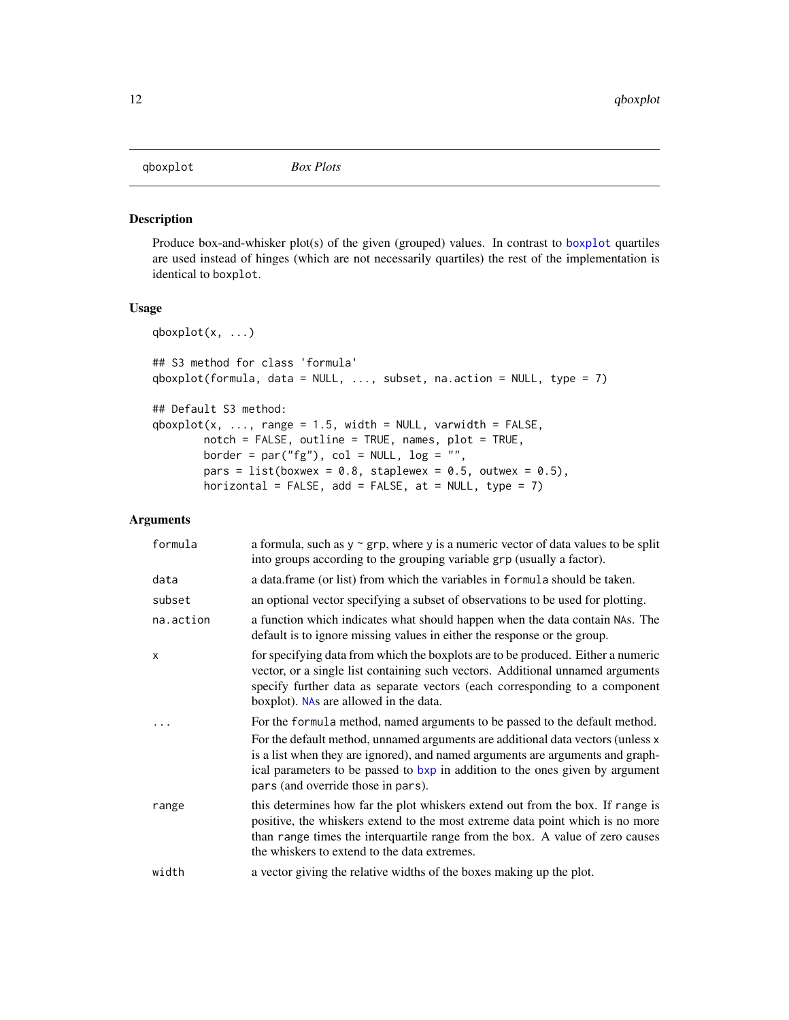# <span id="page-11-0"></span>qboxplot *Box Plots*

# Description

Produce box-and-whisker plot(s) of the given (grouped) values. In contrast to [boxplot](#page-0-0) quartiles are used instead of hinges (which are not necessarily quartiles) the rest of the implementation is identical to boxplot.

# Usage

```
qboxplot(x, ...)
## S3 method for class 'formula'
qboxplot(formula, data = NULL, ..., subset, na.action = NULL, type = 7)
## Default S3 method:
qboxplot(x, ..., range = 1.5, width = NULL, variable = FALSE,notch = FALSE, outline = TRUE, names, plot = TRUE,
       border = par("fg"), col = NULL, log = "",
       pars = list(boxwex = 0.8, staplewex = 0.5, outwex = 0.5),
       horizontal = FALSE, add = FALSE, at = NULL, type = 7)
```
# Arguments

| formula   | a formula, such as $y \sim grp$ , where y is a numeric vector of data values to be split<br>into groups according to the grouping variable grp (usually a factor).                                                                                                                                                                                                      |
|-----------|-------------------------------------------------------------------------------------------------------------------------------------------------------------------------------------------------------------------------------------------------------------------------------------------------------------------------------------------------------------------------|
| data      | a data frame (or list) from which the variables in formula should be taken.                                                                                                                                                                                                                                                                                             |
| subset    | an optional vector specifying a subset of observations to be used for plotting.                                                                                                                                                                                                                                                                                         |
| na.action | a function which indicates what should happen when the data contain NAs. The<br>default is to ignore missing values in either the response or the group.                                                                                                                                                                                                                |
| X         | for specifying data from which the boxplots are to be produced. Either a numeric<br>vector, or a single list containing such vectors. Additional unnamed arguments<br>specify further data as separate vectors (each corresponding to a component<br>boxplot). NAs are allowed in the data.                                                                             |
|           | For the formula method, named arguments to be passed to the default method.<br>For the default method, unnamed arguments are additional data vectors (unless x<br>is a list when they are ignored), and named arguments are arguments and graph-<br>ical parameters to be passed to bxp in addition to the ones given by argument<br>pars (and override those in pars). |
| range     | this determines how far the plot whiskers extend out from the box. If range is<br>positive, the whiskers extend to the most extreme data point which is no more<br>than range times the interquartile range from the box. A value of zero causes<br>the whiskers to extend to the data extremes.                                                                        |
| width     | a vector giving the relative widths of the boxes making up the plot.                                                                                                                                                                                                                                                                                                    |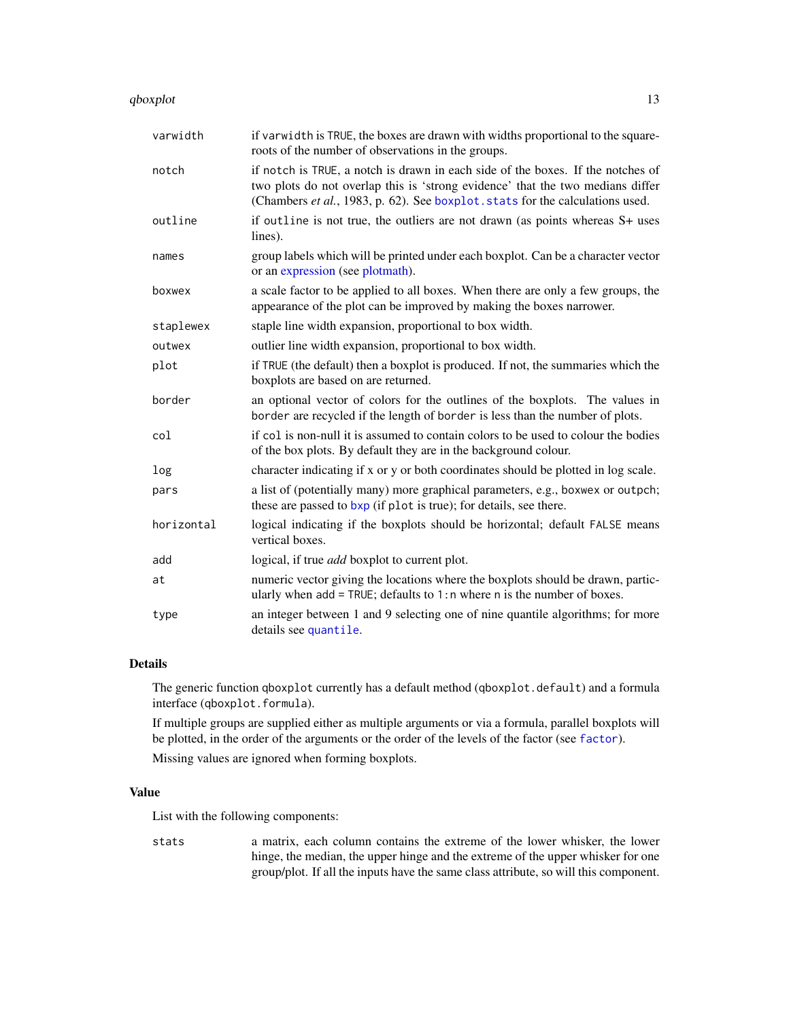<span id="page-12-0"></span>qboxplot the contract of the contract of the contract of the contract of the contract of the contract of the contract of the contract of the contract of the contract of the contract of the contract of the contract of the c

| varwidth   | if varwidth is TRUE, the boxes are drawn with widths proportional to the square-<br>roots of the number of observations in the groups.                                                                                                             |
|------------|----------------------------------------------------------------------------------------------------------------------------------------------------------------------------------------------------------------------------------------------------|
| notch      | if notch is TRUE, a notch is drawn in each side of the boxes. If the notches of<br>two plots do not overlap this is 'strong evidence' that the two medians differ<br>(Chambers et al., 1983, p. 62). See boxplot. stats for the calculations used. |
| outline    | if outline is not true, the outliers are not drawn (as points whereas S+ uses<br>lines).                                                                                                                                                           |
| names      | group labels which will be printed under each boxplot. Can be a character vector<br>or an expression (see plotmath).                                                                                                                               |
| boxwex     | a scale factor to be applied to all boxes. When there are only a few groups, the<br>appearance of the plot can be improved by making the boxes narrower.                                                                                           |
| staplewex  | staple line width expansion, proportional to box width.                                                                                                                                                                                            |
| outwex     | outlier line width expansion, proportional to box width.                                                                                                                                                                                           |
| plot       | if TRUE (the default) then a boxplot is produced. If not, the summaries which the<br>boxplots are based on are returned.                                                                                                                           |
| border     | an optional vector of colors for the outlines of the boxplots. The values in<br>border are recycled if the length of border is less than the number of plots.                                                                                      |
| col        | if col is non-null it is assumed to contain colors to be used to colour the bodies<br>of the box plots. By default they are in the background colour.                                                                                              |
| log        | character indicating if x or y or both coordinates should be plotted in log scale.                                                                                                                                                                 |
| pars       | a list of (potentially many) more graphical parameters, e.g., boxwex or outpch;<br>these are passed to bxp (if plot is true); for details, see there.                                                                                              |
| horizontal | logical indicating if the boxplots should be horizontal; default FALSE means<br>vertical boxes.                                                                                                                                                    |
| add        | logical, if true <i>add</i> boxplot to current plot.                                                                                                                                                                                               |
| at         | numeric vector giving the locations where the boxplots should be drawn, partic-<br>ularly when $add = TRUE$ ; defaults to 1:n where n is the number of boxes.                                                                                      |
| type       | an integer between 1 and 9 selecting one of nine quantile algorithms; for more<br>details see quantile.                                                                                                                                            |

# Details

The generic function qboxplot currently has a default method (qboxplot.default) and a formula interface (qboxplot.formula).

If multiple groups are supplied either as multiple arguments or via a formula, parallel boxplots will be plotted, in the order of the arguments or the order of the levels of the factor (see [factor](#page-0-0)).

Missing values are ignored when forming boxplots.

# Value

List with the following components:

stats a matrix, each column contains the extreme of the lower whisker, the lower hinge, the median, the upper hinge and the extreme of the upper whisker for one group/plot. If all the inputs have the same class attribute, so will this component.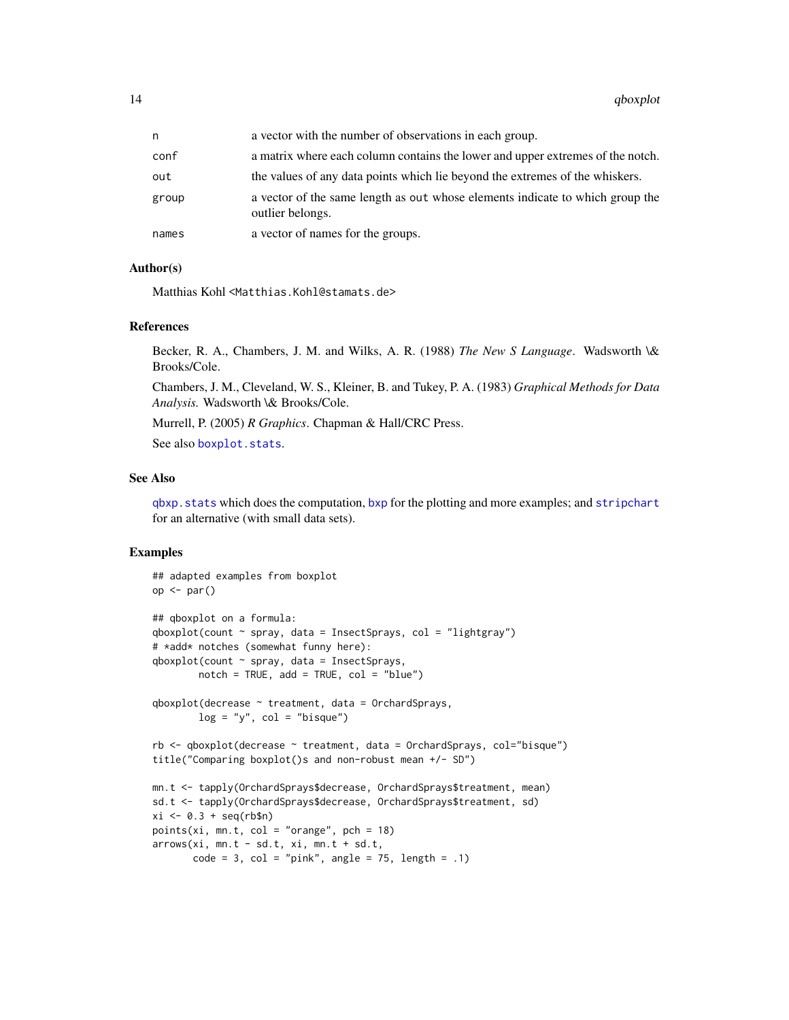<span id="page-13-0"></span>

| n.    | a vector with the number of observations in each group.                                           |
|-------|---------------------------------------------------------------------------------------------------|
| conf  | a matrix where each column contains the lower and upper extremes of the notch.                    |
| out   | the values of any data points which lie beyond the extremes of the whiskers.                      |
| group | a vector of the same length as out whose elements indicate to which group the<br>outlier belongs. |
| names | a vector of names for the groups.                                                                 |

#### Author(s)

Matthias Kohl <Matthias.Kohl@stamats.de>

# References

Becker, R. A., Chambers, J. M. and Wilks, A. R. (1988) *The New S Language*. Wadsworth \& Brooks/Cole.

Chambers, J. M., Cleveland, W. S., Kleiner, B. and Tukey, P. A. (1983) *Graphical Methods for Data Analysis.* Wadsworth \& Brooks/Cole.

Murrell, P. (2005) *R Graphics*. Chapman & Hall/CRC Press.

See also [boxplot.stats](#page-0-0).

#### See Also

[qbxp.stats](#page-14-1) which does the computation, [bxp](#page-0-0) for the plotting and more examples; and [stripchart](#page-0-0) for an alternative (with small data sets).

```
## adapted examples from boxplot
op <- par()## qboxplot on a formula:
qboxplot(count \sim spray, data = InsectSprays, col = "lightgray")# *add* notches (somewhat funny here):
qboxplot(count ~ spray, data = InsectSprays,
        notch = TRUE, add = TRUE, col = "blue")qboxplot(decrease ~ treatment, data = OrchardSprays,
        log = "y", col = "bisque")rb <- qboxplot(decrease ~ treatment, data = OrchardSprays, col="bisque")
title("Comparing boxplot()s and non-robust mean +/- SD")
mn.t <- tapply(OrchardSprays$decrease, OrchardSprays$treatment, mean)
sd.t <- tapply(OrchardSprays$decrease, OrchardSprays$treatment, sd)
xi \leftarrow 0.3 + seq(rb$n)points(xi, mn.t, col = "orange", pch = 18)
arrows(xi, mn.t - sd.t, xi, mn.t + sd.t,code = 3, col = "pink", angle = 75, length = .1)
```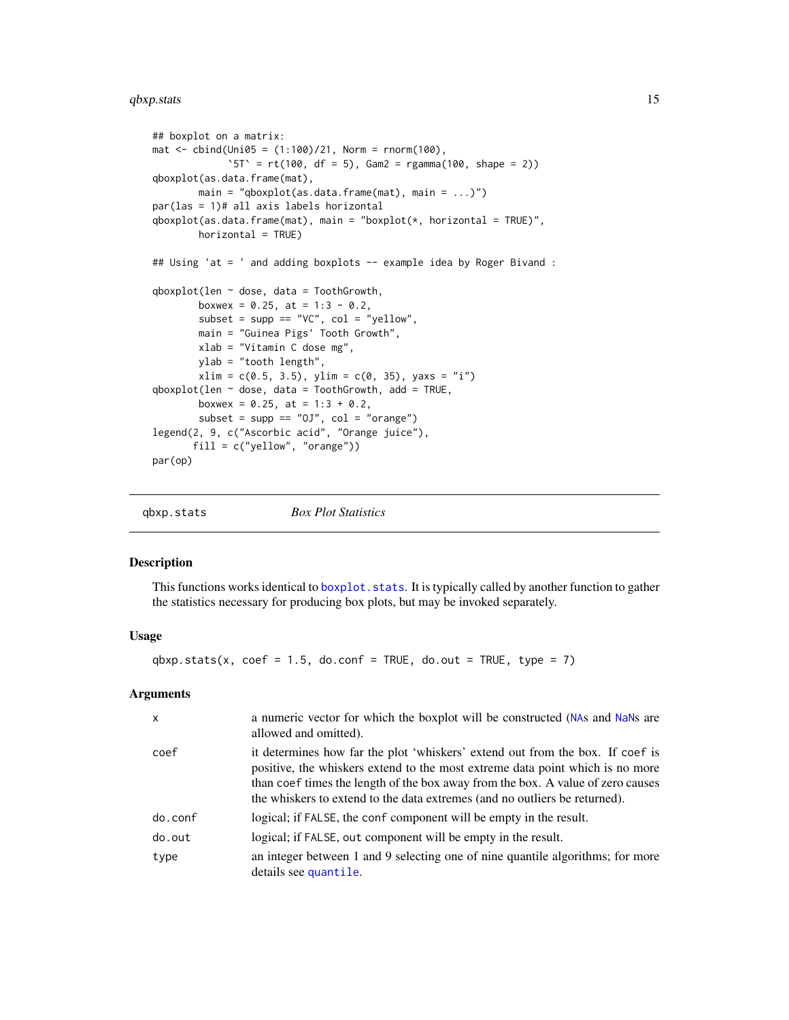#### <span id="page-14-0"></span> $q$ bxp.stats  $15$

```
## boxplot on a matrix:
\text{mat} < - \text{cbind}(\text{Uni05} = (1:100)/21, \text{Norm} = \text{norm}(100),'5T' = rt(100, df = 5), Gam2 = rgamma(100, shape = 2))
qboxplot(as.data.frame(mat),
        main = "qboxplot(as.data.frame(mat), main = \ldots)")
par(las = 1)# all axis labels horizontal
qboxplot(as.data.frame(mat), main = "boxplot(*, horizontal = TRUE)",horizontal = TRUE)
## Using 'at = ' and adding boxplots -- example idea by Roger Bivand :
qboxplot(len \sim dose, data = ToothGrowth,
        boxwex = 0.25, at = 1:3 - 0.2,
        subset = supp == "VC", col = "yellow",main = "Guinea Pigs' Tooth Growth",
        xlab = "Vitamin C dose mg",
        ylab = "tooth length",
        xlim = c(0.5, 3.5), ylim = c(0, 35), yaxs = "i")qboxplot(len ~ does, data = ToothGrowth, add = TRUE,boxwex = 0.25, at = 1:3 + 0.2,
        subset = supp == "0J", col = "orange")legend(2, 9, c("Ascorbic acid", "Orange juice"),
       fill = c("yellow", "orange"))
par(op)
```
<span id="page-14-1"></span>

#### Description

This functions works identical to [boxplot.stats](#page-0-0). It is typically called by another function to gather the statistics necessary for producing box plots, but may be invoked separately.

# Usage

 $qbxp.stats(x, coef = 1.5, do.config = TRUE, do.out = TRUE, type = 7)$ 

#### **Arguments**

| $\mathsf{x}$ | a numeric vector for which the boxplot will be constructed (NAs and NaNs are<br>allowed and omitted).                                                                                                                                                                                                                           |
|--------------|---------------------------------------------------------------------------------------------------------------------------------------------------------------------------------------------------------------------------------------------------------------------------------------------------------------------------------|
| coef         | it determines how far the plot 'whiskers' extend out from the box. If coef is<br>positive, the whiskers extend to the most extreme data point which is no more<br>than coef times the length of the box away from the box. A value of zero causes<br>the whiskers to extend to the data extremes (and no outliers be returned). |
| do.conf      | logical; if FALSE, the conf component will be empty in the result.                                                                                                                                                                                                                                                              |
| do.out       | logical; if FALSE, out component will be empty in the result.                                                                                                                                                                                                                                                                   |
| type         | an integer between 1 and 9 selecting one of nine quantile algorithms; for more<br>details see quantile.                                                                                                                                                                                                                         |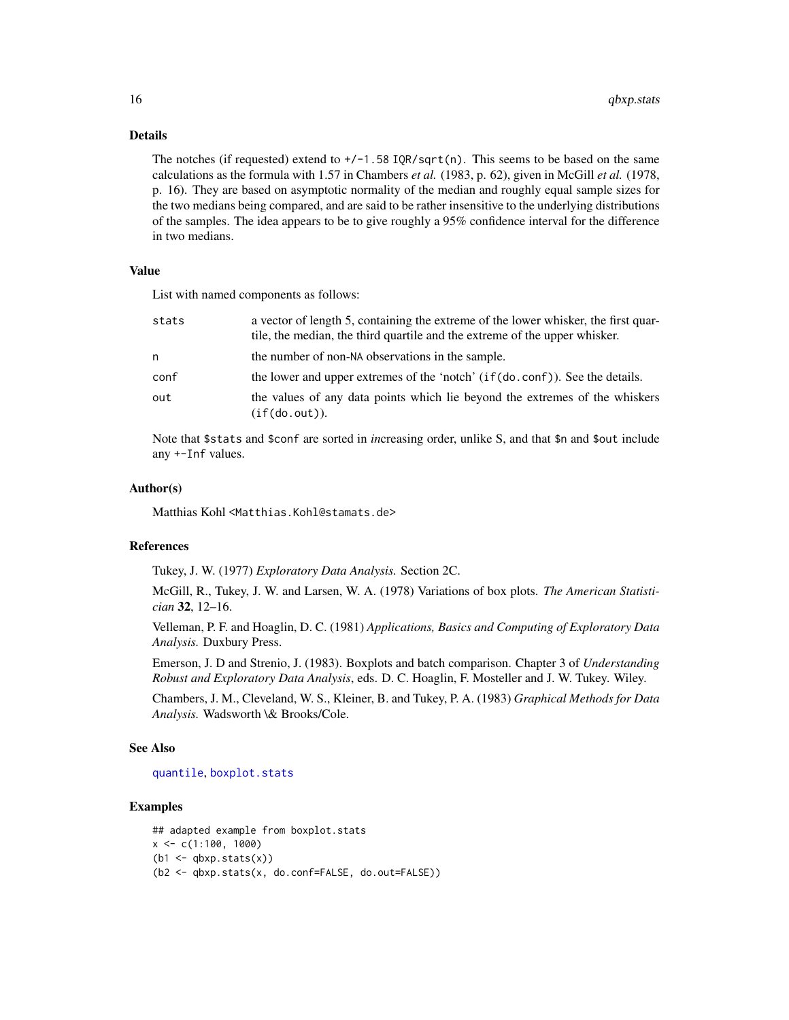# Details

The notches (if requested) extend to  $+/-1.58$  IOR/sqrt(n). This seems to be based on the same calculations as the formula with 1.57 in Chambers *et al.* (1983, p. 62), given in McGill *et al.* (1978, p. 16). They are based on asymptotic normality of the median and roughly equal sample sizes for the two medians being compared, and are said to be rather insensitive to the underlying distributions of the samples. The idea appears to be to give roughly a 95% confidence interval for the difference in two medians.

# Value

List with named components as follows:

| stats | a vector of length 5, containing the extreme of the lower whisker, the first quar-<br>tile, the median, the third quartile and the extreme of the upper whisker. |
|-------|------------------------------------------------------------------------------------------------------------------------------------------------------------------|
| n     | the number of non-NA observations in the sample.                                                                                                                 |
| conf  | the lower and upper extremes of the 'notch' (if(do.conf)). See the details.                                                                                      |
| out   | the values of any data points which lie beyond the extremes of the whiskers<br>(if(do.out)).                                                                     |

Note that \$stats and \$conf are sorted in *in*creasing order, unlike S, and that \$n and \$out include any +-Inf values.

#### Author(s)

Matthias Kohl <Matthias.Kohl@stamats.de>

#### References

Tukey, J. W. (1977) *Exploratory Data Analysis.* Section 2C.

McGill, R., Tukey, J. W. and Larsen, W. A. (1978) Variations of box plots. *The American Statistician* 32, 12–16.

Velleman, P. F. and Hoaglin, D. C. (1981) *Applications, Basics and Computing of Exploratory Data Analysis.* Duxbury Press.

Emerson, J. D and Strenio, J. (1983). Boxplots and batch comparison. Chapter 3 of *Understanding Robust and Exploratory Data Analysis*, eds. D. C. Hoaglin, F. Mosteller and J. W. Tukey. Wiley.

Chambers, J. M., Cleveland, W. S., Kleiner, B. and Tukey, P. A. (1983) *Graphical Methods for Data Analysis.* Wadsworth \& Brooks/Cole.

#### See Also

#### [quantile](#page-0-0), [boxplot.stats](#page-0-0)

```
## adapted example from boxplot.stats
x \leq -c(1:100, 1000)(b1 \leftarrow \text{qbxp}.stats(x))(b2 <- qbxp.stats(x, do.conf=FALSE, do.out=FALSE))
```
<span id="page-15-0"></span>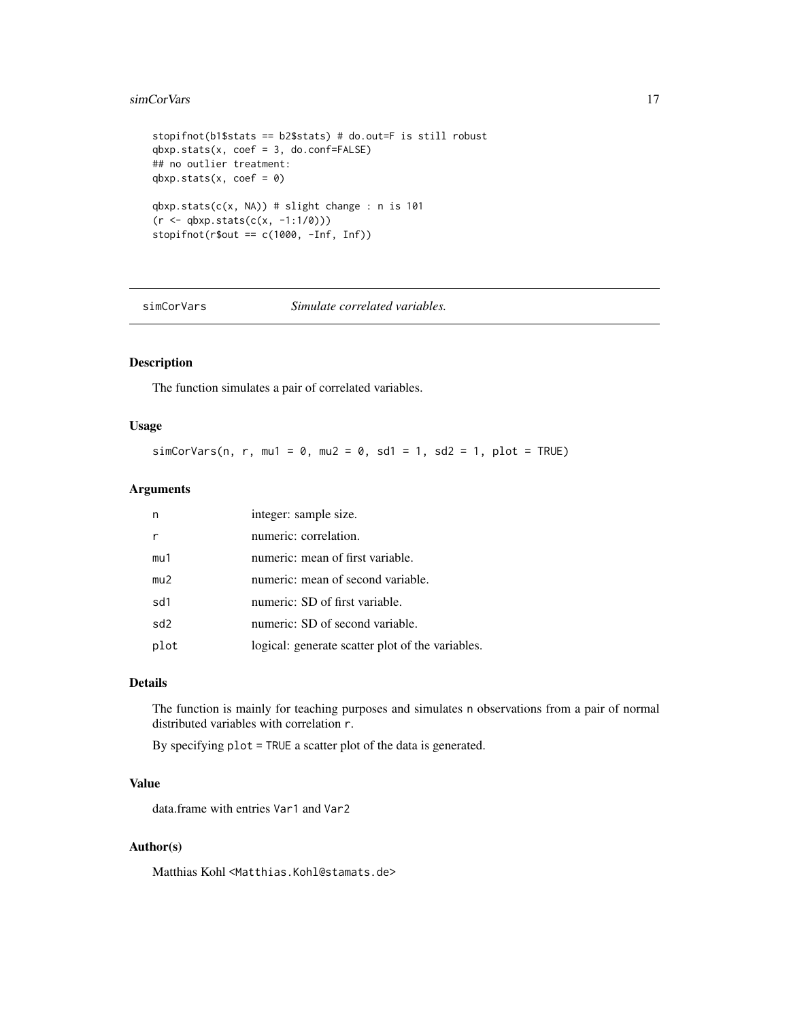#### <span id="page-16-0"></span>simCorVars 17

```
stopifnot(b1$stats == b2$stats) # do.out=F is still robust
qbxp.stats(x, coef = 3, do.config=False)## no outlier treatment:
qbxp.stats(x, coef = 0)qbxp.stats(c(x, NA)) # slight change : n is 101
(r < -qbxp.stats(c(x, -1:1/0)))stopifnot(r$out == c(1000, -Inf, Inf))
```
simCorVars *Simulate correlated variables.*

# Description

The function simulates a pair of correlated variables.

# Usage

 $simCorVars(n, r, mul = 0, mu2 = 0, sd1 = 1, sd2 = 1, plot = TRUE)$ 

# Arguments

| n               | integer: sample size.                            |
|-----------------|--------------------------------------------------|
|                 | numeric: correlation.                            |
| mu1             | numeric: mean of first variable.                 |
| mu2             | numeric: mean of second variable.                |
| sd1             | numeric: SD of first variable.                   |
| sd <sub>2</sub> | numeric: SD of second variable.                  |
| plot            | logical: generate scatter plot of the variables. |

#### Details

The function is mainly for teaching purposes and simulates n observations from a pair of normal distributed variables with correlation r.

By specifying plot = TRUE a scatter plot of the data is generated.

#### Value

data.frame with entries Var1 and Var2

# Author(s)

Matthias Kohl <Matthias.Kohl@stamats.de>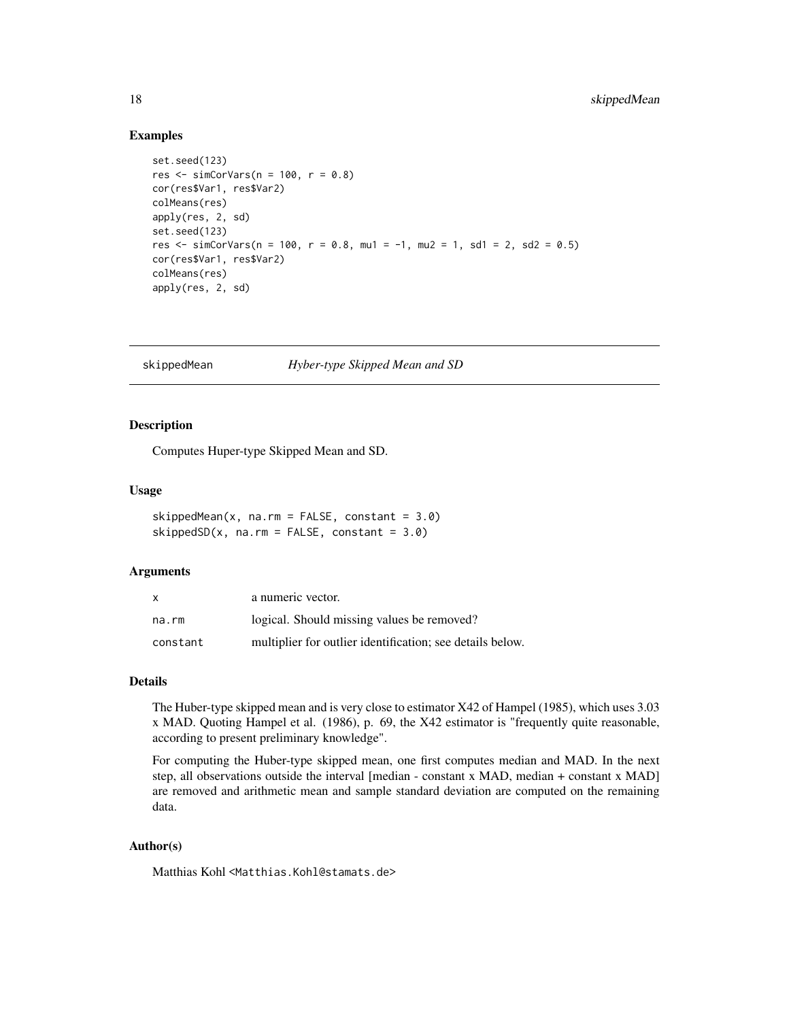#### Examples

```
set.seed(123)
res \le simCorVars(n = 100, r = 0.8)
cor(res$Var1, res$Var2)
colMeans(res)
apply(res, 2, sd)
set.seed(123)
res <- simCorVars(n = 100, r = 0.8, mu1 = -1, mu2 = 1, sd1 = 2, sd2 = 0.5)
cor(res$Var1, res$Var2)
colMeans(res)
apply(res, 2, sd)
```
skippedMean *Hyber-type Skipped Mean and SD*

# Description

Computes Huper-type Skipped Mean and SD.

#### Usage

```
skippedMean(x, na.rm = FALSE, constant = 3.0)skippedSD(x, na.rm = FALSE, constant = 3.0)
```
#### Arguments

| X        | a numeric vector.                                         |
|----------|-----------------------------------------------------------|
| na.rm    | logical. Should missing values be removed?                |
| constant | multiplier for outlier identification; see details below. |

# Details

The Huber-type skipped mean and is very close to estimator X42 of Hampel (1985), which uses 3.03 x MAD. Quoting Hampel et al. (1986), p. 69, the X42 estimator is "frequently quite reasonable, according to present preliminary knowledge".

For computing the Huber-type skipped mean, one first computes median and MAD. In the next step, all observations outside the interval [median - constant x MAD, median + constant x MAD] are removed and arithmetic mean and sample standard deviation are computed on the remaining data.

# Author(s)

Matthias Kohl <Matthias.Kohl@stamats.de>

<span id="page-17-0"></span>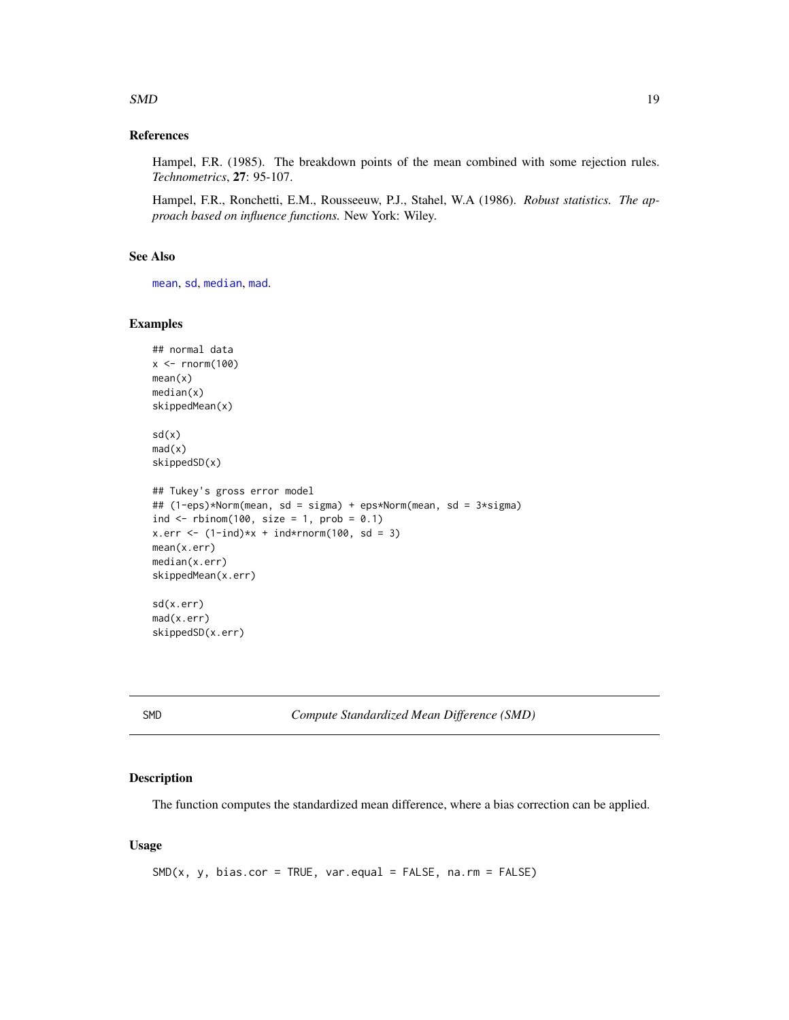#### <span id="page-18-0"></span> $SMD$  19

# References

Hampel, F.R. (1985). The breakdown points of the mean combined with some rejection rules. *Technometrics*, 27: 95-107.

Hampel, F.R., Ronchetti, E.M., Rousseeuw, P.J., Stahel, W.A (1986). *Robust statistics. The approach based on influence functions.* New York: Wiley.

# See Also

[mean](#page-0-0), [sd](#page-0-0), [median](#page-0-0), [mad](#page-0-0).

#### Examples

```
## normal data
x < - rnorm(100)
mean(x)median(x)
skippedMean(x)
sd(x)mad(x)skippedSD(x)
## Tukey's gross error model
## (1-eps)*Norm(mean, sd = sigma) + eps*Norm(mean, sd = 3*sigma)
ind \le rbinom(100, size = 1, prob = 0.1)
x.err <- (1-ind)*x + ind*rnorm(100, sd = 3)mean(x.err)
median(x.err)
skippedMean(x.err)
sd(x.err)
mad(x.err)
skippedSD(x.err)
```
SMD *Compute Standardized Mean Difference (SMD)*

# Description

The function computes the standardized mean difference, where a bias correction can be applied.

#### Usage

 $SMD(x, y, bias.cor = TRUE, var.equals = FALSE, na.rm = FALSE)$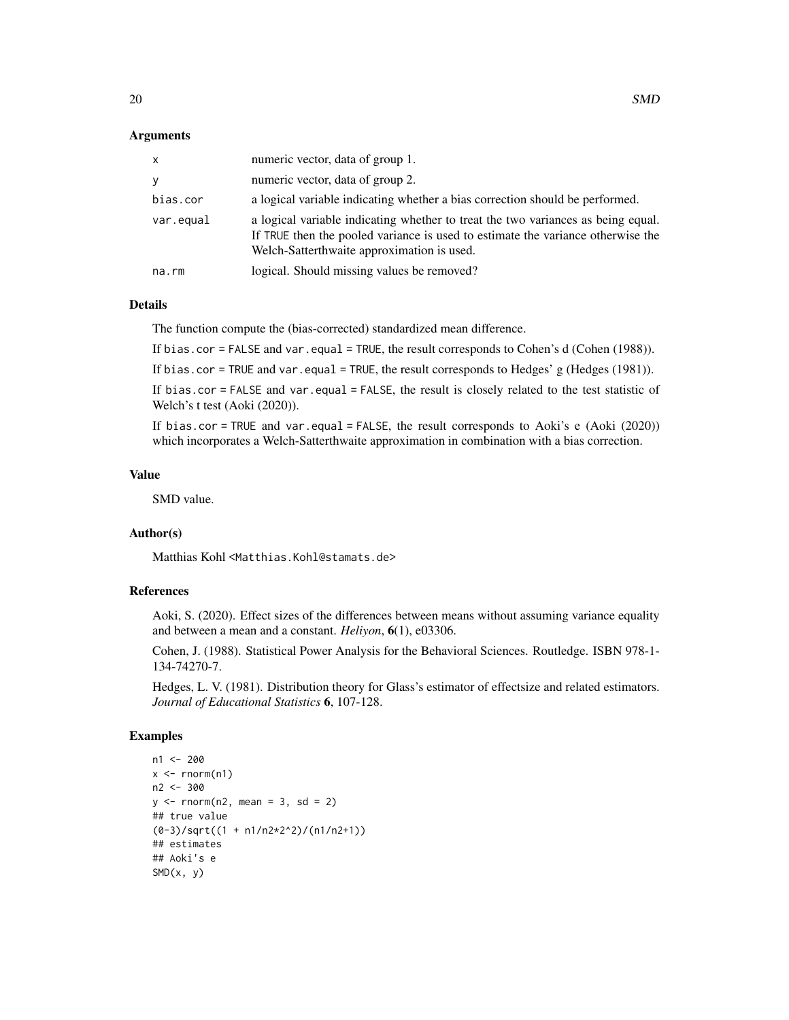#### Arguments

| x         | numeric vector, data of group 1.                                                                                                                                                                                  |
|-----------|-------------------------------------------------------------------------------------------------------------------------------------------------------------------------------------------------------------------|
| V         | numeric vector, data of group 2.                                                                                                                                                                                  |
| bias.cor  | a logical variable indicating whether a bias correction should be performed.                                                                                                                                      |
| var.equal | a logical variable indicating whether to treat the two variances as being equal.<br>If TRUE then the pooled variance is used to estimate the variance otherwise the<br>Welch-Satterthwaite approximation is used. |
| na.rm     | logical. Should missing values be removed?                                                                                                                                                                        |

# Details

The function compute the (bias-corrected) standardized mean difference.

If bias.cor = FALSE and var.equal = TRUE, the result corresponds to Cohen's d (Cohen (1988)).

If bias.cor = TRUE and var.equal = TRUE, the result corresponds to Hedges' g (Hedges (1981)).

If bias.cor = FALSE and var.equal = FALSE, the result is closely related to the test statistic of Welch's t test (Aoki (2020)).

If bias.cor = TRUE and var.equal = FALSE, the result corresponds to Aoki's e (Aoki  $(2020)$ ) which incorporates a Welch-Satterthwaite approximation in combination with a bias correction.

# Value

SMD value.

#### Author(s)

Matthias Kohl <Matthias.Kohl@stamats.de>

#### References

Aoki, S. (2020). Effect sizes of the differences between means without assuming variance equality and between a mean and a constant. *Heliyon*, 6(1), e03306.

Cohen, J. (1988). Statistical Power Analysis for the Behavioral Sciences. Routledge. ISBN 978-1- 134-74270-7.

Hedges, L. V. (1981). Distribution theory for Glass's estimator of effectsize and related estimators. *Journal of Educational Statistics* 6, 107-128.

```
n1 <- 200
x \le - rnorm(n1)
n2 <- 300
y \le - rnorm(n2, mean = 3, sd = 2)
## true value
(0-3)/sqrt((1 + n1/n2*2^2)/(n1/n2+1))## estimates
## Aoki's e
SMD(x, y)
```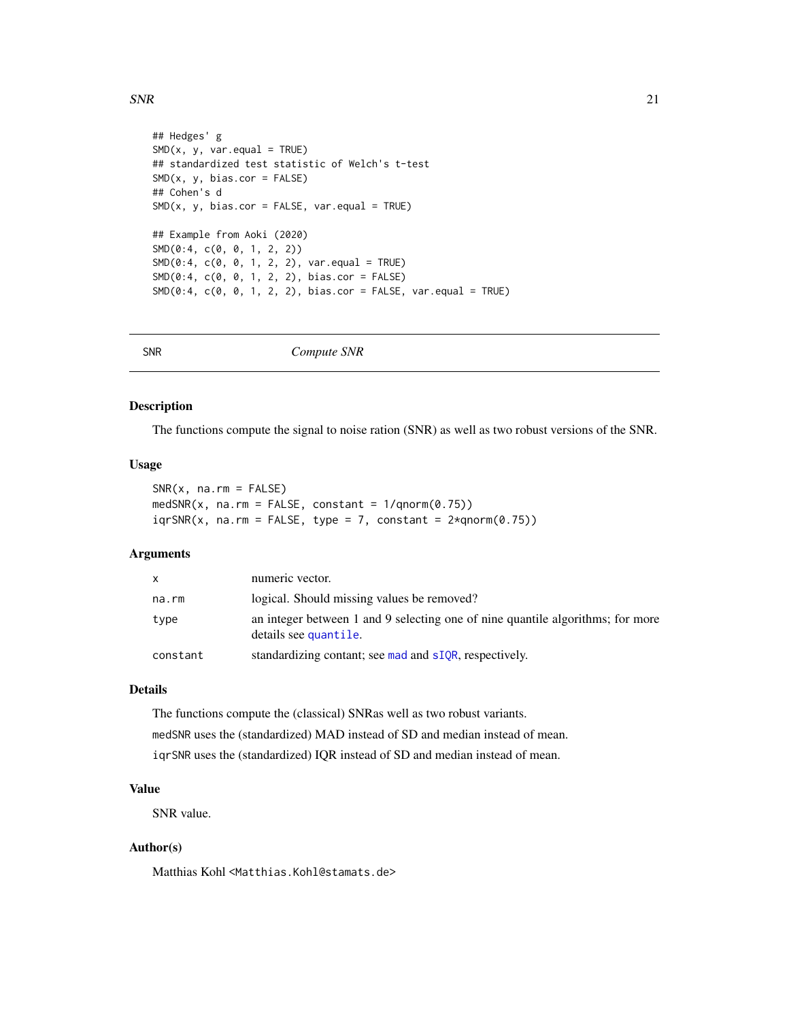#### <span id="page-20-0"></span> $SNR$  21

```
## Hedges' g
SMD(x, y, var.equals = TRUE)## standardized test statistic of Welch's t-test
SMD(x, y, bias.cor = FALSE)## Cohen's d
SMD(x, y, bias.cor = FALSE, var.equals = TRUE)## Example from Aoki (2020)
SMD(0:4, c(0, 0, 1, 2, 2))
SMD(0:4, c(0, 0, 1, 2, 2), var.equals = TRUE)SMD(0:4, c(0, 0, 1, 2, 2), bias.cor = FALSE)
SMD(0:4, c(0, 0, 1, 2, 2), bias.cor = FALSE, var.equals = TRUE)
```
SNR *Compute SNR*

#### Description

The functions compute the signal to noise ration (SNR) as well as two robust versions of the SNR.

#### Usage

 $SNR(x, na.rm = FALSE)$  $medSNR(x, na.rm = FALSE, constant = 1/qnorm(0.75))$  $iqrSNR(x, na.rm = FALSE, type = 7, constant =  $2*qnorm(0.75)$ )$ 

# Arguments

| x        | numeric vector.                                                                                         |
|----------|---------------------------------------------------------------------------------------------------------|
| na.rm    | logical. Should missing values be removed?                                                              |
| type     | an integer between 1 and 9 selecting one of nine quantile algorithms; for more<br>details see quantile. |
| constant | standardizing contant; see mad and sIQR, respectively.                                                  |

# Details

The functions compute the (classical) SNRas well as two robust variants. medSNR uses the (standardized) MAD instead of SD and median instead of mean. iqrSNR uses the (standardized) IQR instead of SD and median instead of mean.

# Value

SNR value.

# Author(s)

Matthias Kohl <Matthias.Kohl@stamats.de>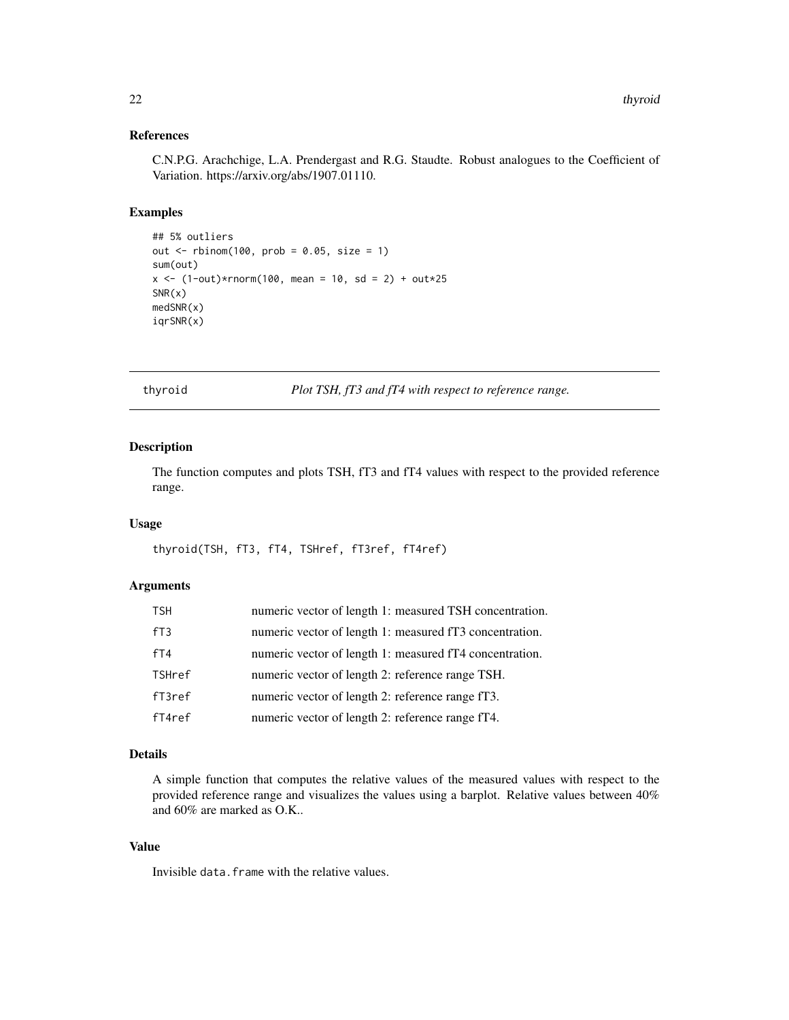# References

C.N.P.G. Arachchige, L.A. Prendergast and R.G. Staudte. Robust analogues to the Coefficient of Variation. https://arxiv.org/abs/1907.01110.

# Examples

```
## 5% outliers
out \le - rbinom(100, prob = 0.05, size = 1)
sum(out)
x \le -(1-out)*rnorm(100, mean = 10, sd = 2) + out*25
SNR(x)
medSNR(x)
iqrSNR(x)
```
thyroid *Plot TSH, fT3 and fT4 with respect to reference range.*

# Description

The function computes and plots TSH, fT3 and fT4 values with respect to the provided reference range.

# Usage

```
thyroid(TSH, fT3, fT4, TSHref, fT3ref, fT4ref)
```
# Arguments

| <b>TSH</b>    | numeric vector of length 1: measured TSH concentration. |
|---------------|---------------------------------------------------------|
| fT3           | numeric vector of length 1: measured fT3 concentration. |
| fT4           | numeric vector of length 1: measured fT4 concentration. |
| <b>TSHref</b> | numeric vector of length 2: reference range TSH.        |
| $f$ T $3ref$  | numeric vector of length 2: reference range fT3.        |
| $f$ T4re $f$  | numeric vector of length 2: reference range fT4.        |

#### Details

A simple function that computes the relative values of the measured values with respect to the provided reference range and visualizes the values using a barplot. Relative values between 40% and 60% are marked as O.K..

#### Value

Invisible data.frame with the relative values.

<span id="page-21-0"></span>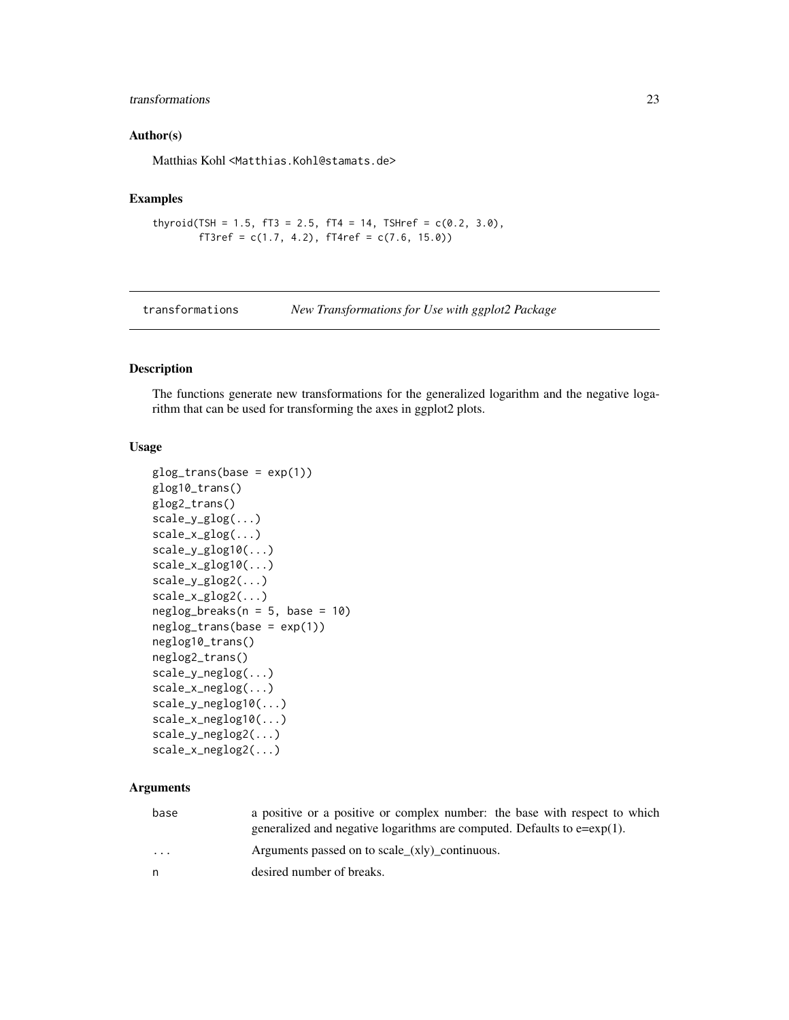# <span id="page-22-0"></span>transformations 23

#### Author(s)

Matthias Kohl <Matthias.Kohl@stamats.de>

# Examples

```
thyroid(TSH = 1.5, fT3 = 2.5, fT4 = 14, TSHref = c(0.2, 3.0),
        fT3ref = c(1.7, 4.2), fT4ref = c(7.6, 15.0))
```
transformations *New Transformations for Use with ggplot2 Package*

# Description

The functions generate new transformations for the generalized logarithm and the negative logarithm that can be used for transforming the axes in ggplot2 plots.

# Usage

```
glog_{1}trans(base = exp(1))glog10_trans()
glog2_trans()
scale_y_glog(...)scale_x_glog(...)
scale_y_glog10(...)
scale_x_glog10(...)
scale_y_glog2(...)
scale_x_glog2(...)
neglog\_breaks(n = 5, base = 10)neglog_trans(base = exp(1))
neglog10_trans()
neglog2_trans()
scale_y_neglog(...)
scale_x_neglog(...)
scale_y_neglog10(...)
scale_x_neglog10(...)
scale_y_neglog2(...)
scale_x_neglog2(...)
```
#### Arguments

| base                    | a positive or a positive or complex number: the base with respect to which   |
|-------------------------|------------------------------------------------------------------------------|
|                         | generalized and negative logarithms are computed. Defaults to $e = exp(1)$ . |
| $\cdot$ $\cdot$ $\cdot$ | Arguments passed on to scale_ $(x y)$ _continuous.                           |
| n                       | desired number of breaks.                                                    |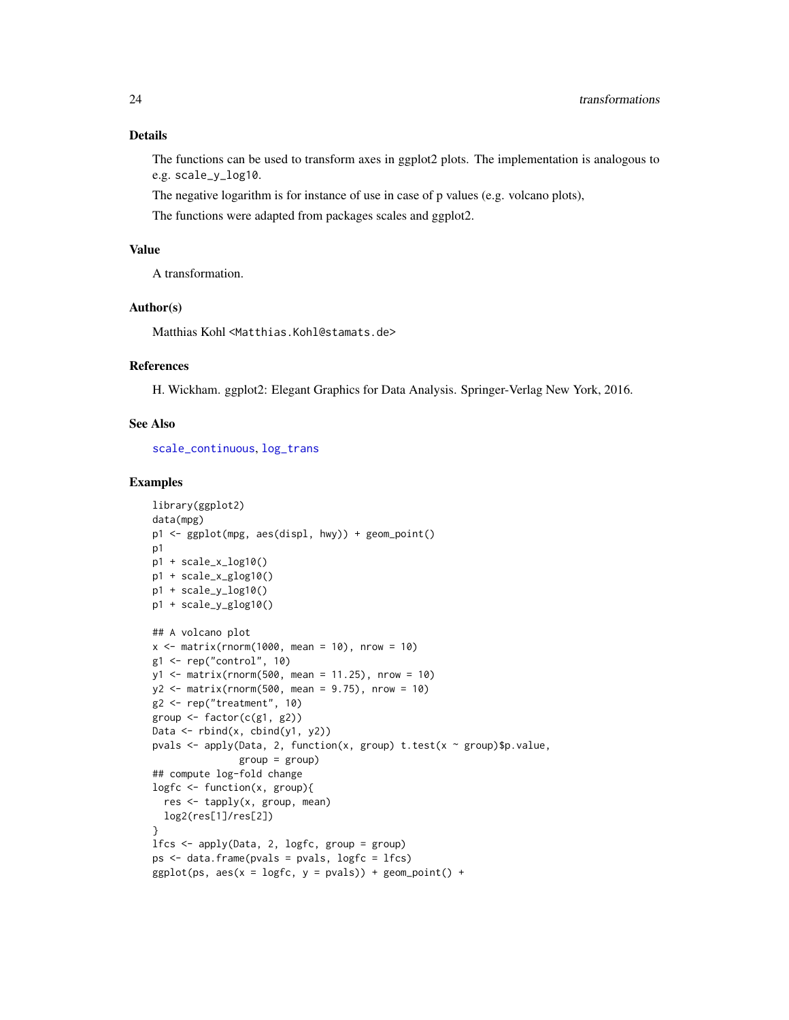# <span id="page-23-0"></span>Details

The functions can be used to transform axes in ggplot2 plots. The implementation is analogous to e.g. scale\_y\_log10.

The negative logarithm is for instance of use in case of p values (e.g. volcano plots),

The functions were adapted from packages scales and ggplot2.

# Value

A transformation.

#### Author(s)

Matthias Kohl <Matthias.Kohl@stamats.de>

# References

H. Wickham. ggplot2: Elegant Graphics for Data Analysis. Springer-Verlag New York, 2016.

#### See Also

[scale\\_continuous](#page-0-0), [log\\_trans](#page-0-0)

```
library(ggplot2)
data(mpg)
p1 <- ggplot(mpg, aes(displ, hwy)) + geom_point()
p1
p1 + scale_x_log10()
p1 + scale_x_glog10()
p1 + scale_y_log10()
p1 + scale_y_glog10()
## A volcano plot
x \le - matrix(rnorm(1000, mean = 10), nrow = 10)
g1 \leftarrow rep("control", 10)y1 <- matrix(rnorm(500, mean = 11.25), nrow = 10)
y2 <- matrix(rnorm(500, mean = 9.75), nrow = 10)
g2 \leq -rep("treatment", 10)group \leq factor(c(g1, g2))
Data \leq rbind(x, cbind(y1, y2))
pvals <- apply(Data, 2, function(x, group) t.test(x ~ group)$p.value,
               group = group)## compute log-fold change
logfc <- function(x, group){
  res <- tapply(x, group, mean)
 log2(res[1]/res[2])
}
lfcs <- apply(Data, 2, logfc, group = group)
ps <- data.frame(pvals = pvals, logfc = lfcs)
ggplot(ps, aes(x = logfc, y = pvals)) + geom-point() +
```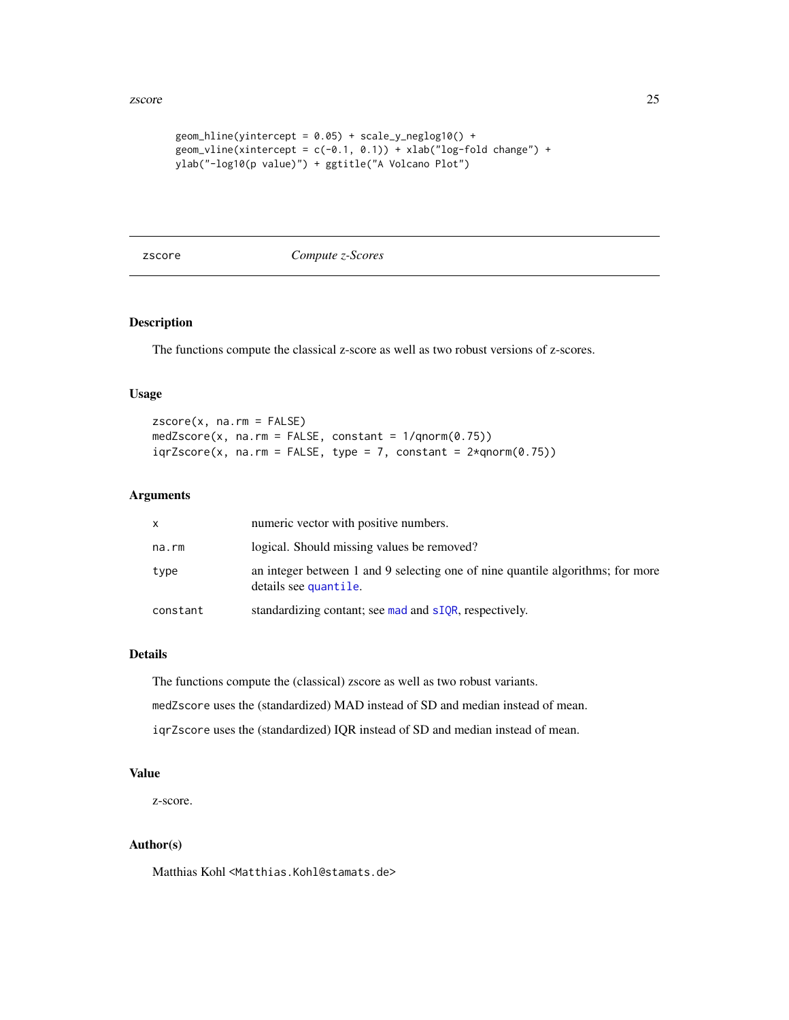#### <span id="page-24-0"></span>zscore et al. 25 animalisme et al. 25 animalisme et al. 25 animalisme et al. 25 animalisme et al. 25 animalism

```
geom\_hline(yintercept = 0.05) + scale_y-neglog10() +geom_vline(xintercept = c(-0.1, 0.1)) + xlab("log-fold change") +
ylab("-log10(p value)") + ggtitle("A Volcano Plot")
```
zscore *Compute z-Scores*

# Description

The functions compute the classical z-score as well as two robust versions of z-scores.

#### Usage

 $zscore(x, na.rm = FALSE)$  $medZscore(x, na.rm = FALSE, constant = 1/qnorm(0.75))$  $iqrZscore(x, na.rm = FALSE, type = 7, constant =  $2*qnorm(0.75)$ )$ 

# Arguments

| x        | numeric vector with positive numbers.                                                                   |
|----------|---------------------------------------------------------------------------------------------------------|
| na.rm    | logical. Should missing values be removed?                                                              |
| type     | an integer between 1 and 9 selecting one of nine quantile algorithms; for more<br>details see quantile. |
| constant | standardizing contant; see mad and sIQR, respectively.                                                  |

# Details

The functions compute the (classical) zscore as well as two robust variants. medZscore uses the (standardized) MAD instead of SD and median instead of mean. iqrZscore uses the (standardized) IQR instead of SD and median instead of mean.

# Value

z-score.

# Author(s)

Matthias Kohl <Matthias.Kohl@stamats.de>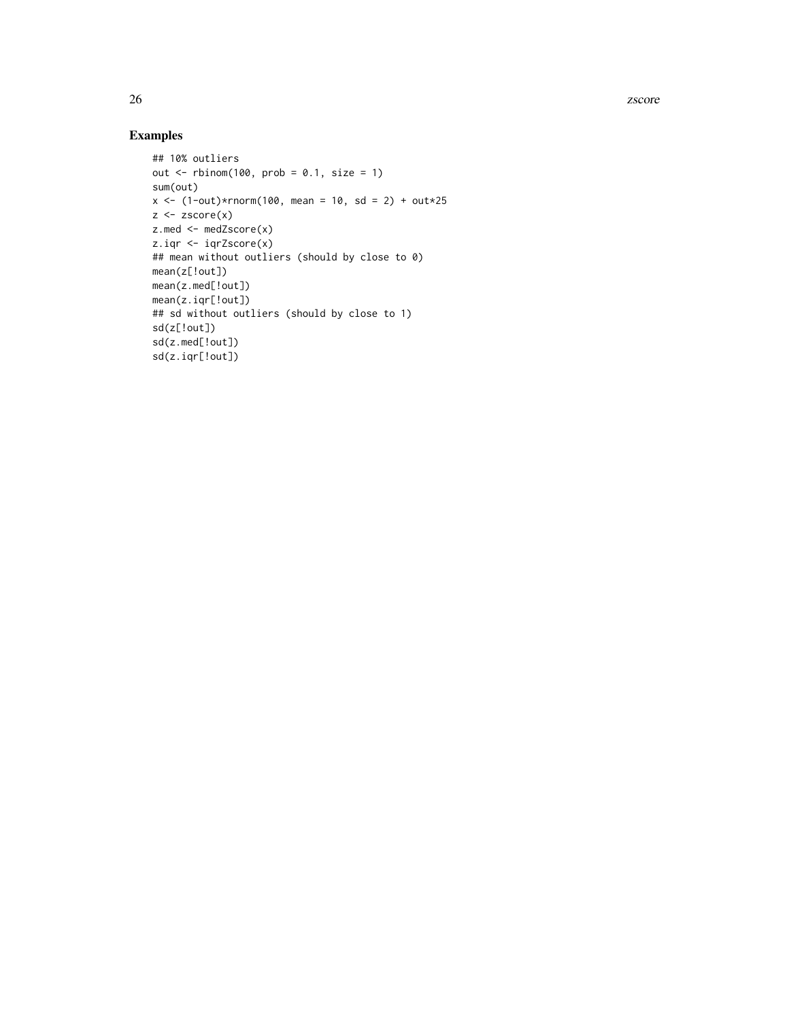26 zscore za začela za se začela za začela za začela za začela za začela za začela začela začela začela začela

```
## 10% outliers
out \le rbinom(100, prob = 0.1, size = 1)
sum(out)
x \le -(1-out)*rnorm(100, mean = 10, sd = 2) + out*25
z \leftarrow zscore(x)z.med <- medZscore(x)
z.iqr <- iqrZscore(x)
## mean without outliers (should by close to 0)
mean(z[!out])
mean(z.med[!out])
mean(z.iqr[!out])
## sd without outliers (should by close to 1)
sd(z[!out])
sd(z.med[!out])
sd(z.iqr[!out])
```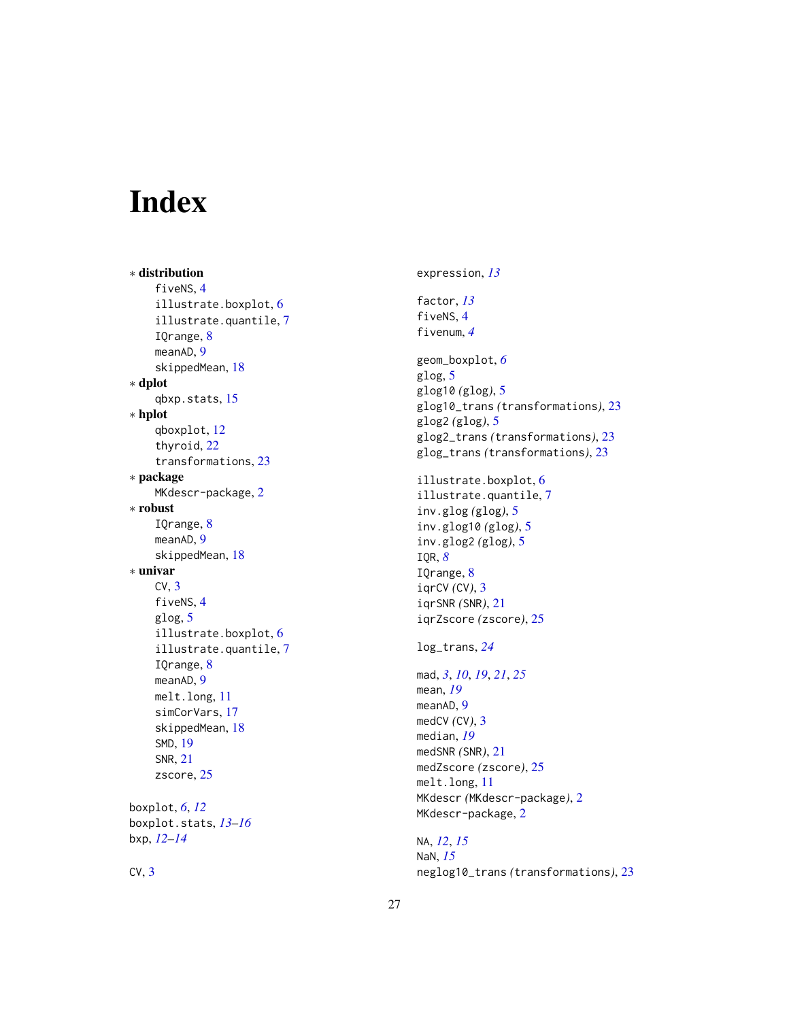# <span id="page-26-0"></span>Index

∗ distribution fiveNS, [4](#page-3-0) illustrate.boxplot , [6](#page-5-0) illustrate.quantile , [7](#page-6-0) IQrange , [8](#page-7-0) meanAD, [9](#page-8-0) skippedMean , [18](#page-17-0) ∗ dplot qbxp.stats , [15](#page-14-0) ∗ hplot qboxplot , [12](#page-11-0) thyroid , [22](#page-21-0) transformations , [23](#page-22-0) ∗ package MKdescr-package, [2](#page-1-0) ∗ robust IQrange , [8](#page-7-0) meanAD, [9](#page-8-0) skippedMean , [18](#page-17-0) ∗ univar  $CV, 3$  $CV, 3$ fiveNS, [4](#page-3-0) glog , [5](#page-4-0) illustrate.boxplot , [6](#page-5-0) illustrate.quantile , [7](#page-6-0) IQrange , [8](#page-7-0) meanAD, [9](#page-8-0) melt.long , [11](#page-10-0) simCorVars , [17](#page-16-0) skippedMean , [18](#page-17-0) SMD , [19](#page-18-0) SNR , [21](#page-20-0) zscore, [25](#page-24-0) boxplot , *[6](#page-5-0)* , *[12](#page-11-0)* boxplot.stats , *[13](#page-12-0) [–16](#page-15-0)*

bxp , *[12](#page-11-0) [–14](#page-13-0)*

 $CV, 3$  $CV, 3$ 

expression , *[13](#page-12-0)* factor , *[13](#page-12-0)* fiveNS , [4](#page-3-0) fivenum , *[4](#page-3-0)* geom\_boxplot , *[6](#page-5-0)* glog , [5](#page-4-0) glog10 *(*glog *)* , [5](#page-4-0) glog10\_trans *(*transformations *)* , [23](#page-22-0) glog2 *(*glog *)* , [5](#page-4-0) glog2\_trans *(*transformations *)* , [23](#page-22-0) glog\_trans *(*transformations *)* , [23](#page-22-0) illustrate.boxplot , [6](#page-5-0) illustrate.quantile , [7](#page-6-0) inv.glog *(*glog *)* , [5](#page-4-0) inv.glog10 *(*glog *)* , [5](#page-4-0) inv.glog2 *(*glog *)* , [5](#page-4-0) IQR , *[8](#page-7-0)* IQrange, [8](#page-7-0) iqrCV *(*CV *)* , [3](#page-2-0) iqrSNR *(*SNR *)* , [21](#page-20-0) iqrZscore *(*zscore *)* , [25](#page-24-0) log\_trans , *[24](#page-23-0)* mad , *[3](#page-2-0)* , *[10](#page-9-0)* , *[19](#page-18-0)* , *[21](#page-20-0)* , *[25](#page-24-0)* mean , *[19](#page-18-0)* meanAD, [9](#page-8-0) medCV *(*CV *)* , [3](#page-2-0) median , *[19](#page-18-0)* medSNR *(*SNR *)* , [21](#page-20-0) medZscore *(*zscore *)* , [25](#page-24-0) melt.long , [11](#page-10-0) MKdescr *(*MKdescr-package *)* , [2](#page-1-0) MKdescr-package, [2](#page-1-0) NA , *[12](#page-11-0)* , *[15](#page-14-0)*

NaN , *[15](#page-14-0)* neglog10\_trans *(*transformations *)* , [23](#page-22-0)